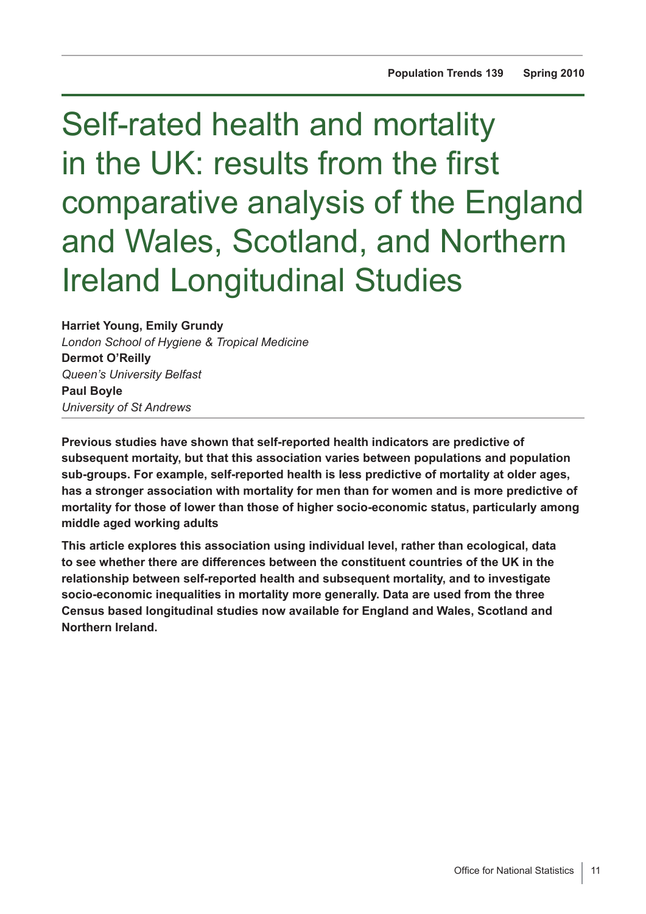# Self-rated health and mortality in the UK: results from the first comparative analysis of the England and Wales, Scotland, and Northern Ireland Longitudinal Studies

#### **Harriet Young, Emily Grundy**

*London School of Hygiene & Tropical Medicine* **Dermot O'Reilly** *Queen's University Belfast* **Paul Boyle** *University of St Andrews*

**Previous studies have shown that self-reported health indicators are predictive of subsequent mortaity, but that this association varies between populations and population sub-groups. For example, self-reported health is less predictive of mortality at older ages, has a stronger association with mortality for men than for women and is more predictive of mortality for those of lower than those of higher socio-economic status, particularly among middle aged working adults**

**This article explores this association using individual level, rather than ecological, data to see whether there are differences between the constituent countries of the UK in the relationship between self-reported health and subsequent mortality, and to investigate socio-economic inequalities in mortality more generally. Data are used from the three Census based longitudinal studies now available for England and Wales, Scotland and Northern Ireland.**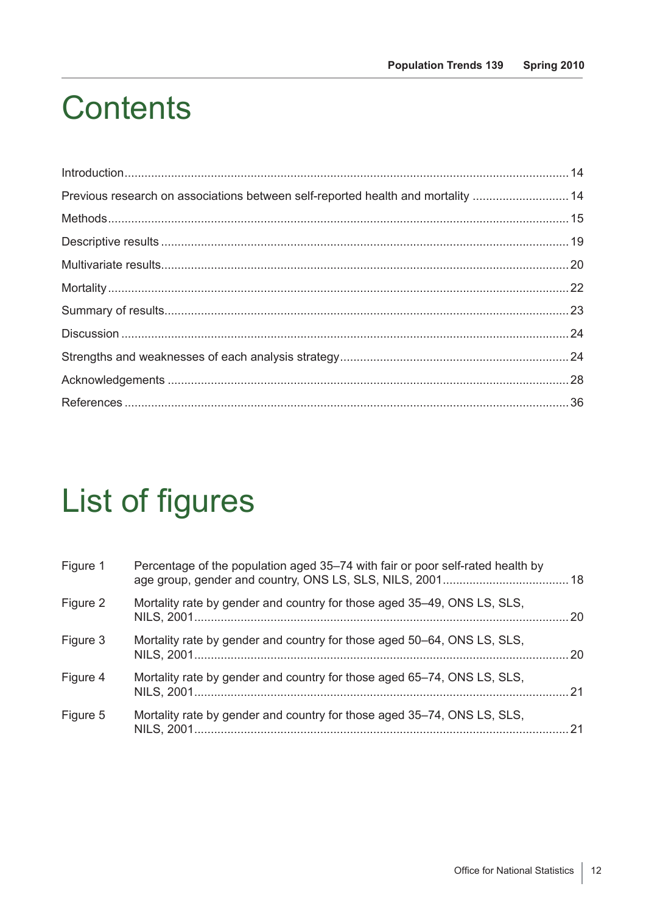# **Contents**

| Previous research on associations between self-reported health and mortality  14 |  |
|----------------------------------------------------------------------------------|--|
|                                                                                  |  |
|                                                                                  |  |
|                                                                                  |  |
|                                                                                  |  |
|                                                                                  |  |
|                                                                                  |  |
|                                                                                  |  |
|                                                                                  |  |
|                                                                                  |  |

# List of figures

| Figure 1 | Percentage of the population aged 35–74 with fair or poor self-rated health by |      |
|----------|--------------------------------------------------------------------------------|------|
| Figure 2 | Mortality rate by gender and country for those aged 35–49, ONS LS, SLS,        | - 20 |
| Figure 3 | Mortality rate by gender and country for those aged 50–64, ONS LS, SLS,        |      |
| Figure 4 | Mortality rate by gender and country for those aged 65–74, ONS LS, SLS,        |      |
| Figure 5 | Mortality rate by gender and country for those aged 35–74, ONS LS, SLS,        |      |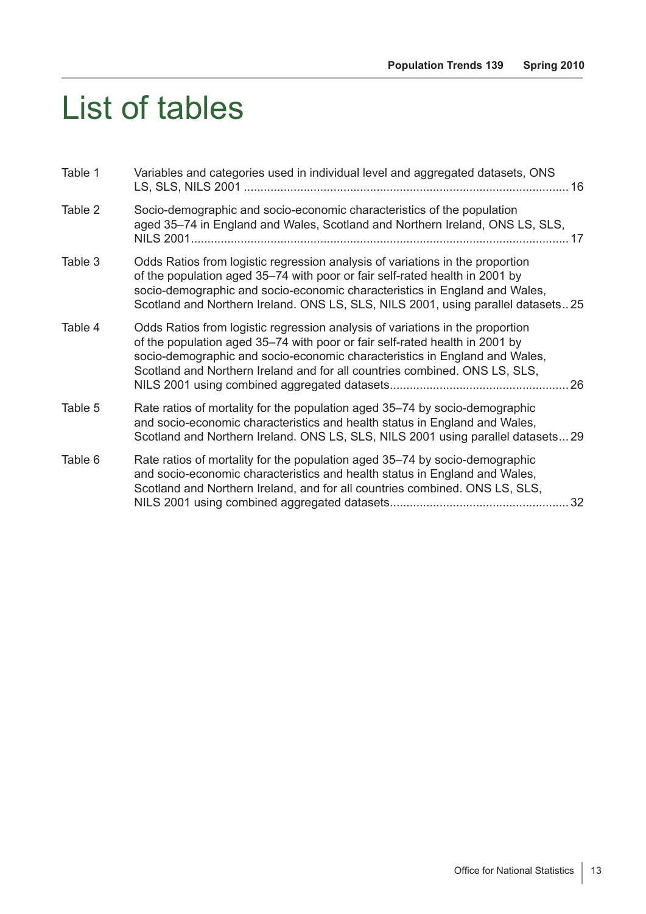# List of tables

| Table 1 | Variables and categories used in individual level and aggregated datasets, ONS<br>16                                                                                                                                                                                                                                           |
|---------|--------------------------------------------------------------------------------------------------------------------------------------------------------------------------------------------------------------------------------------------------------------------------------------------------------------------------------|
| Table 2 | Socio-demographic and socio-economic characteristics of the population<br>aged 35-74 in England and Wales, Scotland and Northern Ireland, ONS LS, SLS,                                                                                                                                                                         |
| Table 3 | Odds Ratios from logistic regression analysis of variations in the proportion<br>of the population aged 35–74 with poor or fair self-rated health in 2001 by<br>socio-demographic and socio-economic characteristics in England and Wales,<br>Scotland and Northern Ireland. ONS LS, SLS, NILS 2001, using parallel datasets25 |
| Table 4 | Odds Ratios from logistic regression analysis of variations in the proportion<br>of the population aged 35–74 with poor or fair self-rated health in 2001 by<br>socio-demographic and socio-economic characteristics in England and Wales,<br>Scotland and Northern Ireland and for all countries combined. ONS LS, SLS,       |
| Table 5 | Rate ratios of mortality for the population aged 35–74 by socio-demographic<br>and socio-economic characteristics and health status in England and Wales,<br>Scotland and Northern Ireland. ONS LS, SLS, NILS 2001 using parallel datasets 29                                                                                  |
| Table 6 | Rate ratios of mortality for the population aged 35–74 by socio-demographic<br>and socio-economic characteristics and health status in England and Wales,<br>Scotland and Northern Ireland, and for all countries combined. ONS LS, SLS,                                                                                       |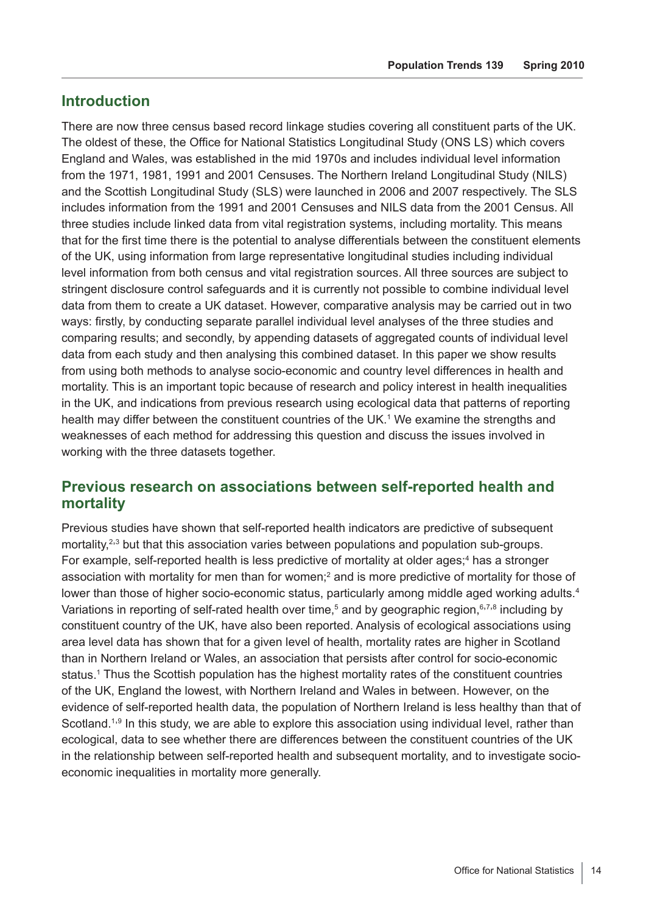#### **Introduction**

There are now three census based record linkage studies covering all constituent parts of the UK. The oldest of these, the Office for National Statistics Longitudinal Study (ONS LS) which covers England and Wales, was established in the mid 1970s and includes individual level information from the 1971, 1981, 1991 and 2001 Censuses. The Northern Ireland Longitudinal Study (NILS) and the Scottish Longitudinal Study (SLS) were launched in 2006 and 2007 respectively. The SLS includes information from the 1991 and 2001 Censuses and NILS data from the 2001 Census. All three studies include linked data from vital registration systems, including mortality. This means that for the first time there is the potential to analyse differentials between the constituent elements of the UK, using information from large representative longitudinal studies including individual level information from both census and vital registration sources. All three sources are subject to stringent disclosure control safeguards and it is currently not possible to combine individual level data from them to create a UK dataset. However, comparative analysis may be carried out in two ways: firstly, by conducting separate parallel individual level analyses of the three studies and comparing results; and secondly, by appending datasets of aggregated counts of individual level data from each study and then analysing this combined dataset. In this paper we show results from using both methods to analyse socio-economic and country level differences in health and mortality. This is an important topic because of research and policy interest in health inequalities in the UK, and indications from previous research using ecological data that patterns of reporting health may differ between the constituent countries of the UK.<sup>1</sup> We examine the strengths and weaknesses of each method for addressing this question and discuss the issues involved in working with the three datasets together.

#### **Previous research on associations between self-reported health and mortality**

Previous studies have shown that self-reported health indicators are predictive of subsequent mortality,<sup>2,3</sup> but that this association varies between populations and population sub-groups. For example, self-reported health is less predictive of mortality at older ages;<sup>4</sup> has a stronger association with mortality for men than for women;<sup>2</sup> and is more predictive of mortality for those of lower than those of higher socio-economic status, particularly among middle aged working adults.<sup>4</sup> Variations in reporting of self-rated health over time,<sup>5</sup> and by geographic region,<sup>6,7,8</sup> including by constituent country of the UK, have also been reported. Analysis of ecological associations using area level data has shown that for a given level of health, mortality rates are higher in Scotland than in Northern Ireland or Wales, an association that persists after control for socio-economic status.<sup>1</sup> Thus the Scottish population has the highest mortality rates of the constituent countries of the UK, England the lowest, with Northern Ireland and Wales in between. However, on the evidence of self-reported health data, the population of Northern Ireland is less healthy than that of Scotland.<sup>1,9</sup> In this study, we are able to explore this association using individual level, rather than ecological, data to see whether there are differences between the constituent countries of the UK in the relationship between self-reported health and subsequent mortality, and to investigate socioeconomic inequalities in mortality more generally.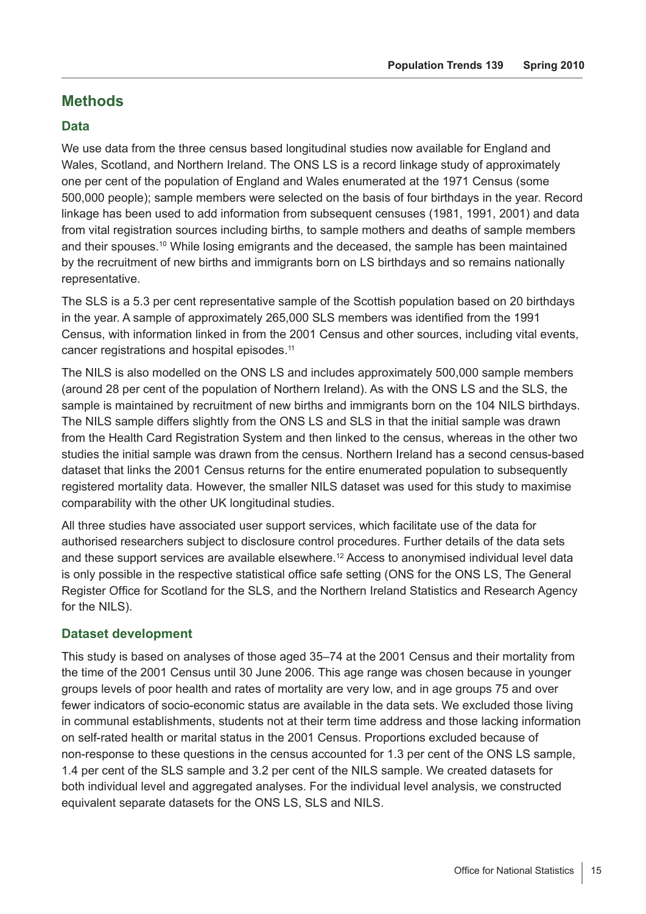#### **Methods**

#### **Data**

We use data from the three census based longitudinal studies now available for England and Wales, Scotland, and Northern Ireland. The ONS LS is a record linkage study of approximately one per cent of the population of England and Wales enumerated at the 1971 Census (some 500,000 people); sample members were selected on the basis of four birthdays in the year. Record linkage has been used to add information from subsequent censuses (1981, 1991, 2001) and data from vital registration sources including births, to sample mothers and deaths of sample members and their spouses.<sup>10</sup> While losing emigrants and the deceased, the sample has been maintained by the recruitment of new births and immigrants born on LS birthdays and so remains nationally representative.

The SLS is a 5.3 per cent representative sample of the Scottish population based on 20 birthdays in the year. A sample of approximately 265,000 SLS members was identified from the 1991 Census, with information linked in from the 2001 Census and other sources, including vital events, cancer registrations and hospital episodes.11

The NILS is also modelled on the ONS LS and includes approximately 500,000 sample members (around 28 per cent of the population of Northern Ireland). As with the ONS LS and the SLS, the sample is maintained by recruitment of new births and immigrants born on the 104 NILS birthdays. The NILS sample differs slightly from the ONS LS and SLS in that the initial sample was drawn from the Health Card Registration System and then linked to the census, whereas in the other two studies the initial sample was drawn from the census. Northern Ireland has a second census-based dataset that links the 2001 Census returns for the entire enumerated population to subsequently registered mortality data. However, the smaller NILS dataset was used for this study to maximise comparability with the other UK longitudinal studies.

All three studies have associated user support services, which facilitate use of the data for authorised researchers subject to disclosure control procedures. Further details of the data sets and these support services are available elsewhere.<sup>12</sup> Access to anonymised individual level data is only possible in the respective statistical office safe setting (ONS for the ONS LS, The General Register Office for Scotland for the SLS, and the Northern Ireland Statistics and Research Agency for the NILS).

#### **Dataset development**

This study is based on analyses of those aged 35–74 at the 2001 Census and their mortality from the time of the 2001 Census until 30 June 2006. This age range was chosen because in younger groups levels of poor health and rates of mortality are very low, and in age groups 75 and over fewer indicators of socio-economic status are available in the data sets. We excluded those living in communal establishments, students not at their term time address and those lacking information on self-rated health or marital status in the 2001 Census. Proportions excluded because of non‑response to these questions in the census accounted for 1.3 per cent of the ONS LS sample, 1.4 per cent of the SLS sample and 3.2 per cent of the NILS sample. We created datasets for both individual level and aggregated analyses. For the individual level analysis, we constructed equivalent separate datasets for the ONS LS, SLS and NILS.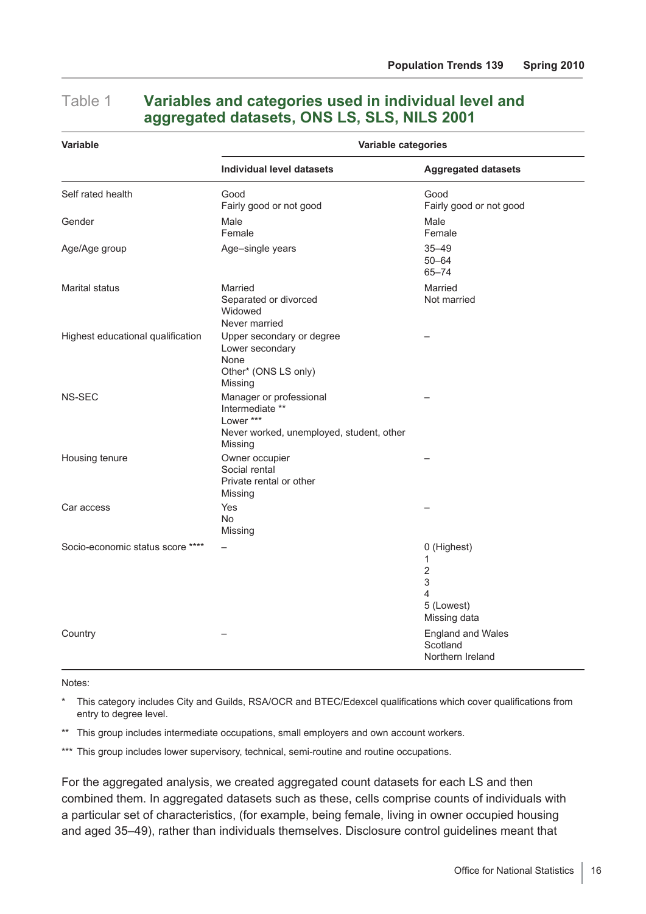| Variable                          | Variable categories                                                                                            |                                                                            |
|-----------------------------------|----------------------------------------------------------------------------------------------------------------|----------------------------------------------------------------------------|
|                                   | Individual level datasets                                                                                      | <b>Aggregated datasets</b>                                                 |
| Self rated health                 | Good<br>Fairly good or not good                                                                                | Good<br>Fairly good or not good                                            |
| Gender                            | Male<br>Female                                                                                                 | Male<br>Female                                                             |
| Age/Age group                     | Age-single years                                                                                               | $35 - 49$<br>$50 - 64$<br>$65 - 74$                                        |
| Marital status                    | Married<br>Separated or divorced<br>Widowed<br>Never married                                                   | Married<br>Not married                                                     |
| Highest educational qualification | Upper secondary or degree<br>Lower secondary<br>None<br>Other* (ONS LS only)<br>Missing                        |                                                                            |
| NS-SEC                            | Manager or professional<br>Intermediate **<br>Lower ***<br>Never worked, unemployed, student, other<br>Missing |                                                                            |
| Housing tenure                    | Owner occupier<br>Social rental<br>Private rental or other<br>Missing                                          |                                                                            |
| Car access                        | Yes<br><b>No</b><br>Missing                                                                                    |                                                                            |
| Socio-economic status score ****  |                                                                                                                | 0 (Highest)<br>1<br>$\overline{2}$<br>3<br>4<br>5 (Lowest)<br>Missing data |
| Country                           |                                                                                                                | England and Wales<br>Scotland<br>Northern Ireland                          |

### Table 1 **Variables and categories used in individual level and aggregated datasets, ONS LS, SLS, NILS 2001**

Notes:

This category includes City and Guilds, RSA/OCR and BTEC/Edexcel qualifications which cover qualifications from entry to degree level.

- \*\* This group includes intermediate occupations, small employers and own account workers.
- \*\*\* This group includes lower supervisory, technical, semi-routine and routine occupations.

For the aggregated analysis, we created aggregated count datasets for each LS and then combined them. In aggregated datasets such as these, cells comprise counts of individuals with a particular set of characteristics, (for example, being female, living in owner occupied housing and aged 35–49), rather than individuals themselves. Disclosure control guidelines meant that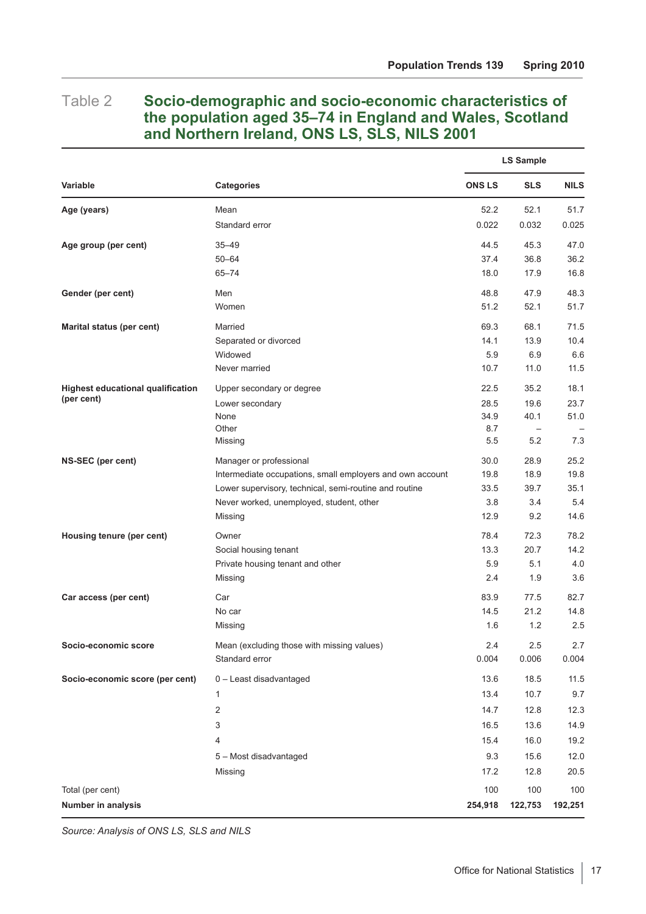#### Table 2 **Socio-demographic and socio-economic characteristics of the population aged 35–74 in England and Wales, Scotland and Northern Ireland, ONS LS, SLS, NILS 2001**

|                                          |                                                           |               | <b>LS Sample</b>         |             |
|------------------------------------------|-----------------------------------------------------------|---------------|--------------------------|-------------|
| <b>Variable</b>                          | <b>Categories</b>                                         | <b>ONS LS</b> | <b>SLS</b>               | <b>NILS</b> |
| Age (years)                              | Mean                                                      | 52.2          | 52.1                     | 51.7        |
|                                          | Standard error                                            | 0.022         | 0.032                    | 0.025       |
| Age group (per cent)                     | $35 - 49$                                                 | 44.5          | 45.3                     | 47.0        |
|                                          | $50 - 64$                                                 | 37.4          | 36.8                     | 36.2        |
|                                          | $65 - 74$                                                 | 18.0          | 17.9                     | 16.8        |
| Gender (per cent)                        | Men                                                       | 48.8          | 47.9                     | 48.3        |
|                                          | Women                                                     | 51.2          | 52.1                     | 51.7        |
| Marital status (per cent)                | Married                                                   | 69.3          | 68.1                     | 71.5        |
|                                          | Separated or divorced                                     | 14.1          | 13.9                     | 10.4        |
|                                          | Widowed                                                   | 5.9           | 6.9                      | 6.6         |
|                                          | Never married                                             | 10.7          | 11.0                     | 11.5        |
| <b>Highest educational qualification</b> | Upper secondary or degree                                 | 22.5          | 35.2                     | 18.1        |
| (per cent)                               | Lower secondary                                           | 28.5          | 19.6                     | 23.7        |
|                                          | None                                                      | 34.9          | 40.1                     | 51.0        |
|                                          | Other                                                     | 8.7           | $\overline{\phantom{m}}$ |             |
|                                          | Missing                                                   | 5.5           | 5.2                      | 7.3         |
| <b>NS-SEC (per cent)</b>                 | Manager or professional                                   | 30.0          | 28.9                     | 25.2        |
|                                          | Intermediate occupations, small employers and own account | 19.8          | 18.9                     | 19.8        |
|                                          | Lower supervisory, technical, semi-routine and routine    | 33.5          | 39.7                     | 35.1        |
|                                          | Never worked, unemployed, student, other                  | 3.8           | 3.4                      | 5.4         |
|                                          | Missing                                                   | 12.9          | 9.2                      | 14.6        |
| Housing tenure (per cent)                | Owner                                                     | 78.4          | 72.3                     | 78.2        |
|                                          | Social housing tenant                                     | 13.3          | 20.7                     | 14.2        |
|                                          | Private housing tenant and other                          | 5.9<br>2.4    | 5.1<br>1.9               | 4.0<br>3.6  |
|                                          | Missing                                                   |               |                          |             |
| Car access (per cent)                    | Car                                                       | 83.9          | 77.5                     | 82.7        |
|                                          | No car                                                    | 14.5<br>1.6   | 21.2<br>1.2              | 14.8<br>2.5 |
|                                          | Missing                                                   |               |                          |             |
| Socio-economic score                     | Mean (excluding those with missing values)                | 2.4           | 2.5                      | 2.7         |
|                                          | Standard error                                            | 0.004         | 0.006                    | 0.004       |
| Socio-economic score (per cent)          | 0 - Least disadvantaged                                   | 13.6          | 18.5                     | 11.5        |
|                                          | 1                                                         | 13.4          | 10.7                     | 9.7         |
|                                          | 2                                                         | 14.7          | 12.8                     | 12.3        |
|                                          | 3                                                         | 16.5          | 13.6                     | 14.9        |
|                                          | 4                                                         | 15.4          | 16.0                     | 19.2        |
|                                          | 5 - Most disadvantaged                                    | 9.3           | 15.6                     | 12.0        |
|                                          | Missing                                                   | 17.2          | 12.8                     | 20.5        |
| Total (per cent)                         |                                                           | 100           | 100                      | 100         |
| Number in analysis                       |                                                           | 254,918       | 122,753                  | 192,251     |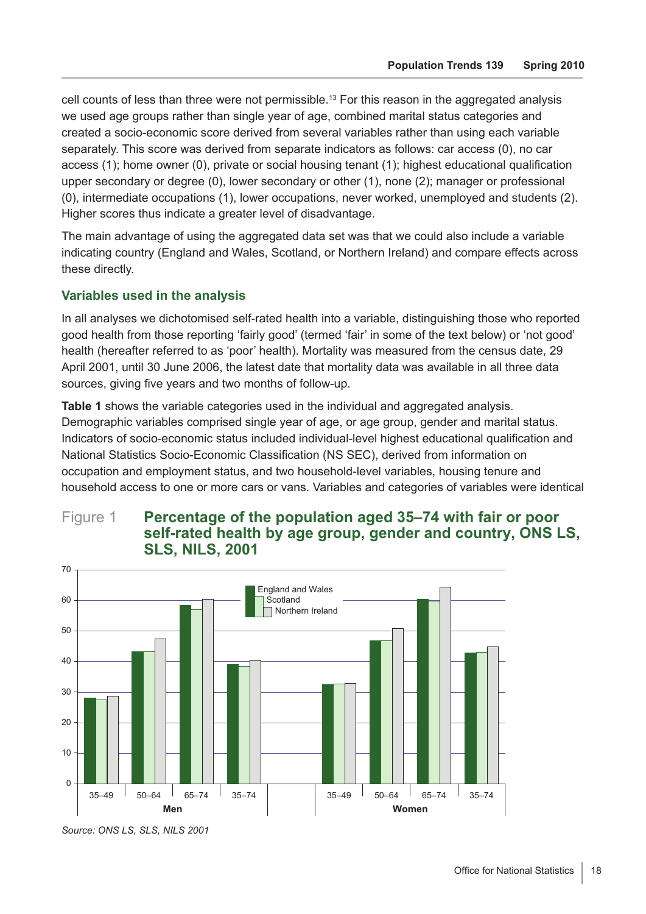cell counts of less than three were not permissible.<sup>13</sup> For this reason in the aggregated analysis we used age groups rather than single year of age, combined marital status categories and created a socio-economic score derived from several variables rather than using each variable separately. This score was derived from separate indicators as follows: car access (0), no car access (1); home owner (0), private or social housing tenant (1); highest educational qualification upper secondary or degree (0), lower secondary or other (1), none (2); manager or professional (0), intermediate occupations (1), lower occupations, never worked, unemployed and students (2). Higher scores thus indicate a greater level of disadvantage.

The main advantage of using the aggregated data set was that we could also include a variable indicating country (England and Wales, Scotland, or Northern Ireland) and compare effects across these directly.

#### **Variables used in the analysis**

In all analyses we dichotomised self-rated health into a variable, distinguishing those who reported good health from those reporting 'fairly good' (termed 'fair' in some of the text below) or 'not good' health (hereafter referred to as 'poor' health). Mortality was measured from the census date, 29 April 2001, until 30 June 2006, the latest date that mortality data was available in all three data sources, giving five years and two months of follow-up.

**Table 1** shows the variable categories used in the individual and aggregated analysis. Demographic variables comprised single year of age, or age group, gender and marital status. Indicators of socio-economic status included individual-level highest educational qualification and National Statistics Socio-Economic Classification (NS SEC), derived from information on occupation and employment status, and two household-level variables, housing tenure and household access to one or more cars or vans. Variables and categories of variables were identical

#### Figure 1 **Percentage of the population aged 35–74 with fair or poor self-rated health by age group, gender and country, ONS LS, SLS, NILS, 2001**



*Source: ONS LS, SLS, NILS 2001*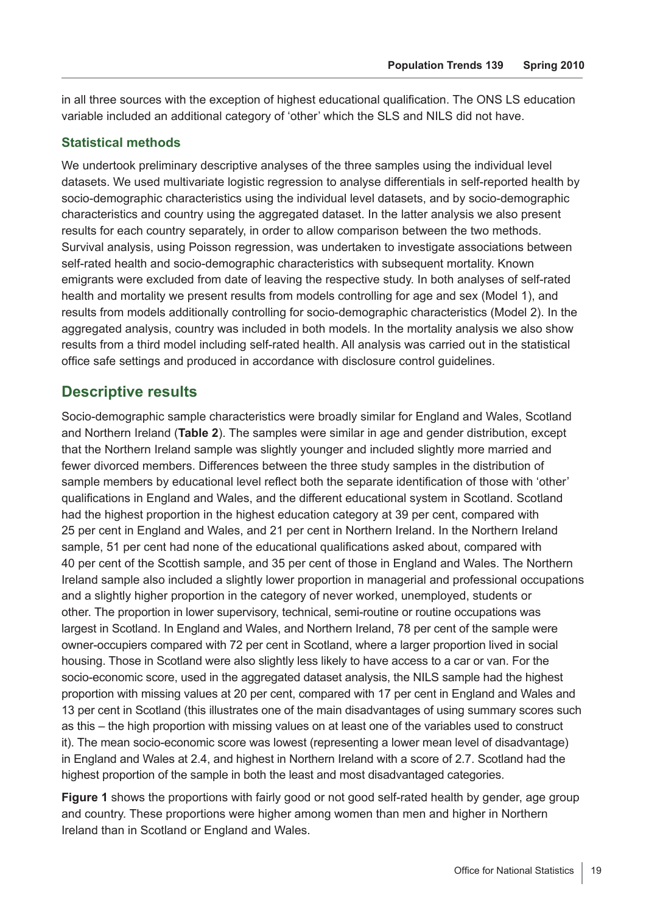in all three sources with the exception of highest educational qualification. The ONS LS education variable included an additional category of 'other' which the SLS and NILS did not have.

#### **Statistical methods**

We undertook preliminary descriptive analyses of the three samples using the individual level datasets. We used multivariate logistic regression to analyse differentials in self-reported health by socio-demographic characteristics using the individual level datasets, and by socio-demographic characteristics and country using the aggregated dataset. In the latter analysis we also present results for each country separately, in order to allow comparison between the two methods. Survival analysis, using Poisson regression, was undertaken to investigate associations between self-rated health and socio-demographic characteristics with subsequent mortality. Known emigrants were excluded from date of leaving the respective study. In both analyses of self-rated health and mortality we present results from models controlling for age and sex (Model 1), and results from models additionally controlling for socio-demographic characteristics (Model 2). In the aggregated analysis, country was included in both models. In the mortality analysis we also show results from a third model including self-rated health. All analysis was carried out in the statistical office safe settings and produced in accordance with disclosure control guidelines.

#### **Descriptive results**

Socio-demographic sample characteristics were broadly similar for England and Wales, Scotland and Northern Ireland (**Table 2**). The samples were similar in age and gender distribution, except that the Northern Ireland sample was slightly younger and included slightly more married and fewer divorced members. Differences between the three study samples in the distribution of sample members by educational level reflect both the separate identification of those with 'other' qualifications in England and Wales, and the different educational system in Scotland. Scotland had the highest proportion in the highest education category at 39 per cent, compared with 25 per cent in England and Wales, and 21 per cent in Northern Ireland. In the Northern Ireland sample, 51 per cent had none of the educational qualifications asked about, compared with 40 per cent of the Scottish sample, and 35 per cent of those in England and Wales. The Northern Ireland sample also included a slightly lower proportion in managerial and professional occupations and a slightly higher proportion in the category of never worked, unemployed, students or other. The proportion in lower supervisory, technical, semi-routine or routine occupations was largest in Scotland. In England and Wales, and Northern Ireland, 78 per cent of the sample were owner-occupiers compared with 72 per cent in Scotland, where a larger proportion lived in social housing. Those in Scotland were also slightly less likely to have access to a car or van. For the socio-economic score, used in the aggregated dataset analysis, the NILS sample had the highest proportion with missing values at 20 per cent, compared with 17 per cent in England and Wales and 13 per cent in Scotland (this illustrates one of the main disadvantages of using summary scores such as this – the high proportion with missing values on at least one of the variables used to construct it). The mean socio-economic score was lowest (representing a lower mean level of disadvantage) in England and Wales at 2.4, and highest in Northern Ireland with a score of 2.7. Scotland had the highest proportion of the sample in both the least and most disadvantaged categories.

**Figure 1** shows the proportions with fairly good or not good self-rated health by gender, age group and country. These proportions were higher among women than men and higher in Northern Ireland than in Scotland or England and Wales.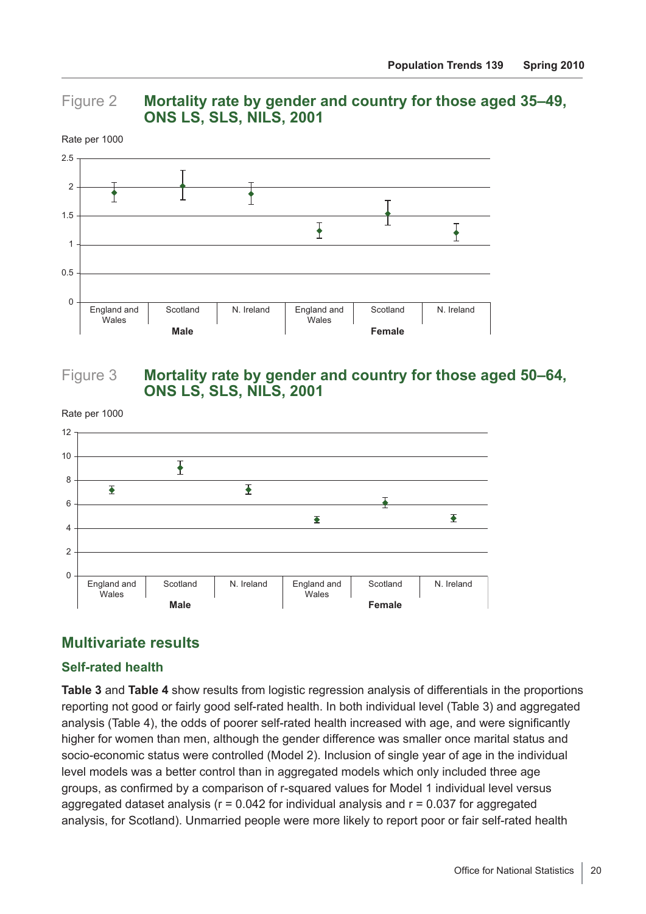



#### Figure 3 **Mortality rate by gender and country for those aged 50–64, ONS LS, SLS, NILS, 2001**

Rate per 1000



### **Multivariate results**

#### **Self-rated health**

**Table 3** and **Table 4** show results from logistic regression analysis of differentials in the proportions reporting not good or fairly good self-rated health. In both individual level (Table 3) and aggregated analysis (Table 4), the odds of poorer self-rated health increased with age, and were significantly higher for women than men, although the gender difference was smaller once marital status and socio-economic status were controlled (Model 2). Inclusion of single year of age in the individual level models was a better control than in aggregated models which only included three age groups, as confirmed by a comparison of r-squared values for Model 1 individual level versus aggregated dataset analysis ( $r = 0.042$  for individual analysis and  $r = 0.037$  for aggregated analysis, for Scotland). Unmarried people were more likely to report poor or fair self-rated health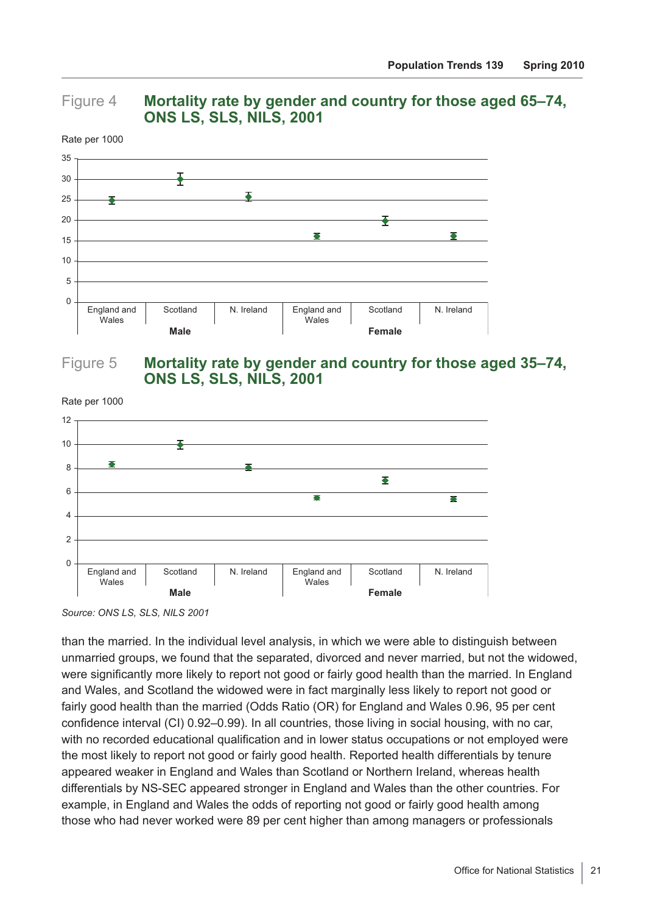

#### Figure 5 **Mortality rate by gender and country for those aged 35–74, ONS LS, SLS, NILS, 2001**



*Source: ONS LS, SLS, NILS 2001*

Rate per 1000

than the married. In the individual level analysis, in which we were able to distinguish between unmarried groups, we found that the separated, divorced and never married, but not the widowed, were significantly more likely to report not good or fairly good health than the married. In England and Wales, and Scotland the widowed were in fact marginally less likely to report not good or fairly good health than the married (Odds Ratio (OR) for England and Wales 0.96, 95 per cent confidence interval (CI) 0.92–0.99). In all countries, those living in social housing, with no car, with no recorded educational qualification and in lower status occupations or not employed were the most likely to report not good or fairly good health. Reported health differentials by tenure appeared weaker in England and Wales than Scotland or Northern Ireland, whereas health differentials by NS-SEC appeared stronger in England and Wales than the other countries. For example, in England and Wales the odds of reporting not good or fairly good health among those who had never worked were 89 per cent higher than among managers or professionals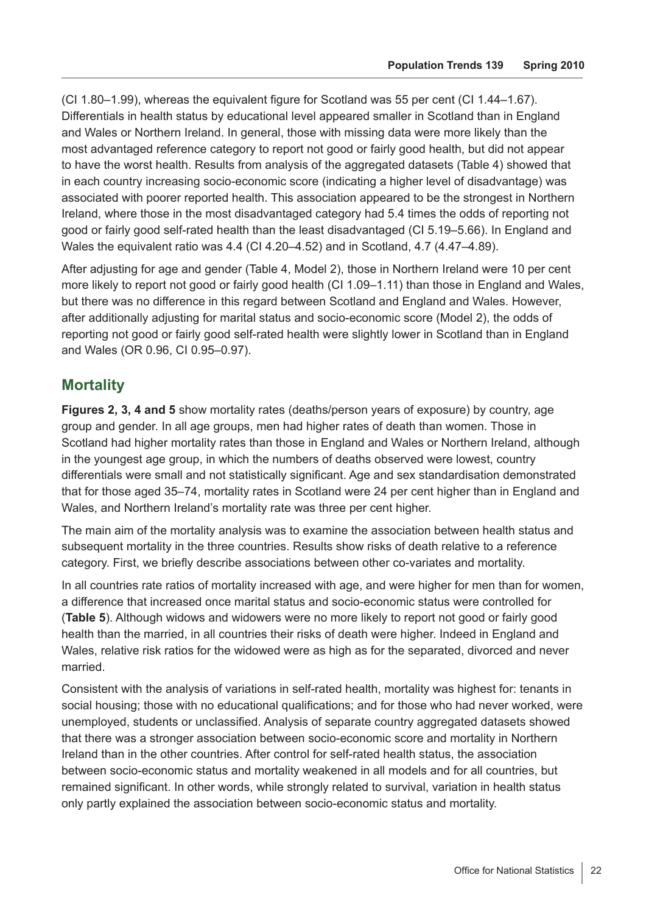(CI 1.80–1.99), whereas the equivalent figure for Scotland was 55 per cent (CI 1.44–1.67). Differentials in health status by educational level appeared smaller in Scotland than in England and Wales or Northern Ireland. In general, those with missing data were more likely than the most advantaged reference category to report not good or fairly good health, but did not appear to have the worst health. Results from analysis of the aggregated datasets (Table 4) showed that in each country increasing socio-economic score (indicating a higher level of disadvantage) was associated with poorer reported health. This association appeared to be the strongest in Northern Ireland, where those in the most disadvantaged category had 5.4 times the odds of reporting not good or fairly good self-rated health than the least disadvantaged (CI 5.19–5.66). In England and Wales the equivalent ratio was 4.4 (CI 4.20–4.52) and in Scotland, 4.7 (4.47–4.89).

After adjusting for age and gender (Table 4, Model 2), those in Northern Ireland were 10 per cent more likely to report not good or fairly good health (CI 1.09–1.11) than those in England and Wales, but there was no difference in this regard between Scotland and England and Wales. However, after additionally adjusting for marital status and socio-economic score (Model 2), the odds of reporting not good or fairly good self-rated health were slightly lower in Scotland than in England and Wales (OR 0.96, CI 0.95–0.97).

### **Mortality**

**Figures 2, 3, 4 and 5** show mortality rates (deaths/person years of exposure) by country, age group and gender. In all age groups, men had higher rates of death than women. Those in Scotland had higher mortality rates than those in England and Wales or Northern Ireland, although in the youngest age group, in which the numbers of deaths observed were lowest, country differentials were small and not statistically significant. Age and sex standardisation demonstrated that for those aged 35–74, mortality rates in Scotland were 24 per cent higher than in England and Wales, and Northern Ireland's mortality rate was three per cent higher.

The main aim of the mortality analysis was to examine the association between health status and subsequent mortality in the three countries. Results show risks of death relative to a reference category. First, we briefly describe associations between other co-variates and mortality.

In all countries rate ratios of mortality increased with age, and were higher for men than for women, a difference that increased once marital status and socio-economic status were controlled for (**Table 5**). Although widows and widowers were no more likely to report not good or fairly good health than the married, in all countries their risks of death were higher. Indeed in England and Wales, relative risk ratios for the widowed were as high as for the separated, divorced and never married.

Consistent with the analysis of variations in self-rated health, mortality was highest for: tenants in social housing; those with no educational qualifications; and for those who had never worked, were unemployed, students or unclassified. Analysis of separate country aggregated datasets showed that there was a stronger association between socio-economic score and mortality in Northern Ireland than in the other countries. After control for self-rated health status, the association between socio-economic status and mortality weakened in all models and for all countries, but remained significant. In other words, while strongly related to survival, variation in health status only partly explained the association between socio-economic status and mortality.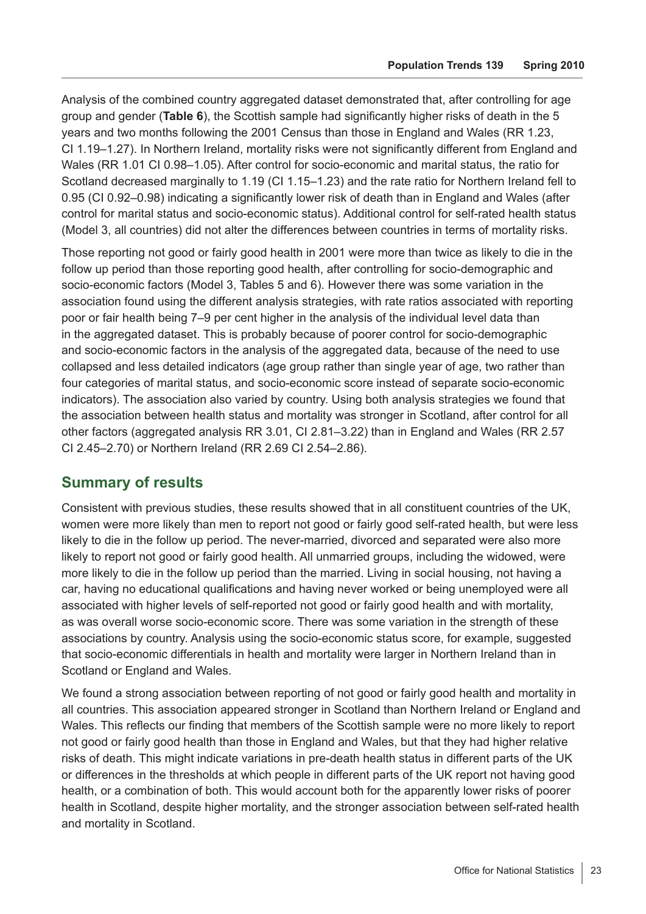Analysis of the combined country aggregated dataset demonstrated that, after controlling for age group and gender (**Table 6**), the Scottish sample had significantly higher risks of death in the 5 years and two months following the 2001 Census than those in England and Wales (RR 1.23, CI 1.19–1.27). In Northern Ireland, mortality risks were not significantly different from England and Wales (RR 1.01 CI 0.98–1.05). After control for socio-economic and marital status, the ratio for Scotland decreased marginally to 1.19 (CI 1.15–1.23) and the rate ratio for Northern Ireland fell to 0.95 (CI 0.92–0.98) indicating a significantly lower risk of death than in England and Wales (after control for marital status and socio-economic status). Additional control for self-rated health status (Model 3, all countries) did not alter the differences between countries in terms of mortality risks.

Those reporting not good or fairly good health in 2001 were more than twice as likely to die in the follow up period than those reporting good health, after controlling for socio-demographic and socio-economic factors (Model 3, Tables 5 and 6). However there was some variation in the association found using the different analysis strategies, with rate ratios associated with reporting poor or fair health being 7–9 per cent higher in the analysis of the individual level data than in the aggregated dataset. This is probably because of poorer control for socio-demographic and socio‑economic factors in the analysis of the aggregated data, because of the need to use collapsed and less detailed indicators (age group rather than single year of age, two rather than four categories of marital status, and socio-economic score instead of separate socio-economic indicators). The association also varied by country. Using both analysis strategies we found that the association between health status and mortality was stronger in Scotland, after control for all other factors (aggregated analysis RR 3.01, CI 2.81–3.22) than in England and Wales (RR 2.57 CI 2.45–2.70) or Northern Ireland (RR 2.69 CI 2.54–2.86).

#### **Summary of results**

Consistent with previous studies, these results showed that in all constituent countries of the UK, women were more likely than men to report not good or fairly good self-rated health, but were less likely to die in the follow up period. The never-married, divorced and separated were also more likely to report not good or fairly good health. All unmarried groups, including the widowed, were more likely to die in the follow up period than the married. Living in social housing, not having a car, having no educational qualifications and having never worked or being unemployed were all associated with higher levels of self-reported not good or fairly good health and with mortality, as was overall worse socio-economic score. There was some variation in the strength of these associations by country. Analysis using the socio-economic status score, for example, suggested that socio-economic differentials in health and mortality were larger in Northern Ireland than in Scotland or England and Wales.

We found a strong association between reporting of not good or fairly good health and mortality in all countries. This association appeared stronger in Scotland than Northern Ireland or England and Wales. This reflects our finding that members of the Scottish sample were no more likely to report not good or fairly good health than those in England and Wales, but that they had higher relative risks of death. This might indicate variations in pre-death health status in different parts of the UK or differences in the thresholds at which people in different parts of the UK report not having good health, or a combination of both. This would account both for the apparently lower risks of poorer health in Scotland, despite higher mortality, and the stronger association between self-rated health and mortality in Scotland.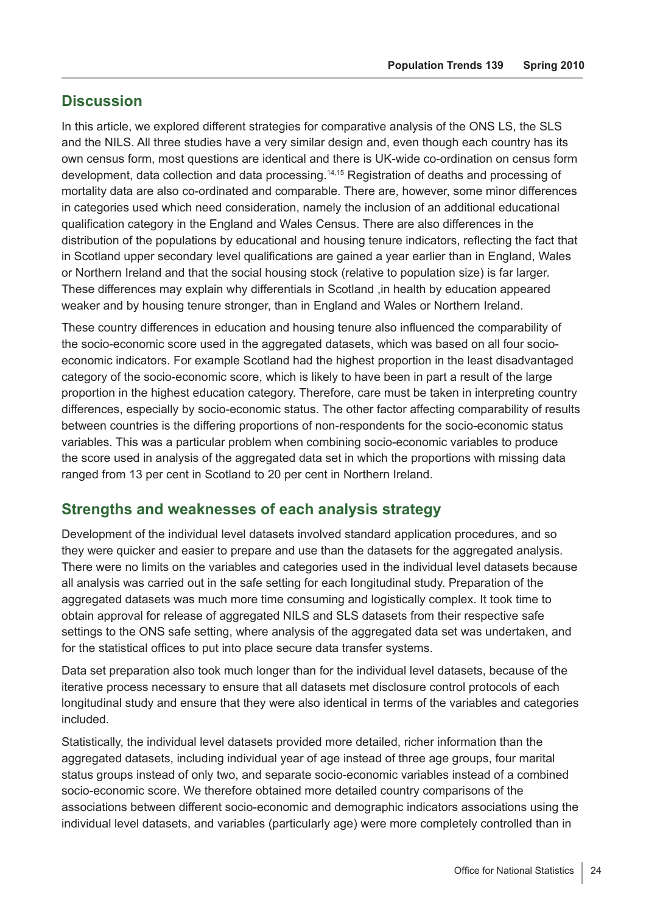#### **Discussion**

In this article, we explored different strategies for comparative analysis of the ONS LS, the SLS and the NILS. All three studies have a very similar design and, even though each country has its own census form, most questions are identical and there is UK-wide co-ordination on census form development, data collection and data processing.14,15 Registration of deaths and processing of mortality data are also co-ordinated and comparable. There are, however, some minor differences in categories used which need consideration, namely the inclusion of an additional educational qualification category in the England and Wales Census. There are also differences in the distribution of the populations by educational and housing tenure indicators, reflecting the fact that in Scotland upper secondary level qualifications are gained a year earlier than in England, Wales or Northern Ireland and that the social housing stock (relative to population size) is far larger. These differences may explain why differentials in Scotland ,in health by education appeared weaker and by housing tenure stronger, than in England and Wales or Northern Ireland.

These country differences in education and housing tenure also influenced the comparability of the socio-economic score used in the aggregated datasets, which was based on all four socioeconomic indicators. For example Scotland had the highest proportion in the least disadvantaged category of the socio-economic score, which is likely to have been in part a result of the large proportion in the highest education category. Therefore, care must be taken in interpreting country differences, especially by socio-economic status. The other factor affecting comparability of results between countries is the differing proportions of non-respondents for the socio-economic status variables. This was a particular problem when combining socio-economic variables to produce the score used in analysis of the aggregated data set in which the proportions with missing data ranged from 13 per cent in Scotland to 20 per cent in Northern Ireland.

### **Strengths and weaknesses of each analysis strategy**

Development of the individual level datasets involved standard application procedures, and so they were quicker and easier to prepare and use than the datasets for the aggregated analysis. There were no limits on the variables and categories used in the individual level datasets because all analysis was carried out in the safe setting for each longitudinal study. Preparation of the aggregated datasets was much more time consuming and logistically complex. It took time to obtain approval for release of aggregated NILS and SLS datasets from their respective safe settings to the ONS safe setting, where analysis of the aggregated data set was undertaken, and for the statistical offices to put into place secure data transfer systems.

Data set preparation also took much longer than for the individual level datasets, because of the iterative process necessary to ensure that all datasets met disclosure control protocols of each longitudinal study and ensure that they were also identical in terms of the variables and categories included.

Statistically, the individual level datasets provided more detailed, richer information than the aggregated datasets, including individual year of age instead of three age groups, four marital status groups instead of only two, and separate socio-economic variables instead of a combined socio-economic score. We therefore obtained more detailed country comparisons of the associations between different socio-economic and demographic indicators associations using the individual level datasets, and variables (particularly age) were more completely controlled than in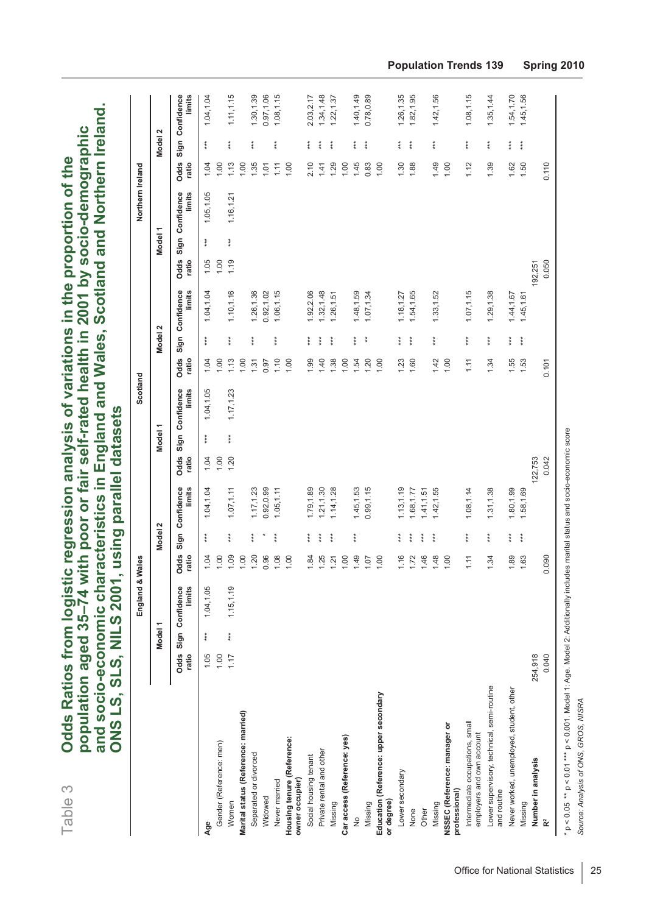| Sign<br>$***$<br>$***$<br>$***$<br>$\ast$<br>$***$<br>***<br>$\frac{*}{*}$<br>$***$<br>$***$<br><b>Odds</b><br>1.09<br>1.20<br>0.96<br>1.08<br>$\overline{a}$<br>1.00<br>1.00<br>00.1<br>1.25<br>1.00<br>1.00<br>England & Wales<br>ratio<br>1.04<br>1.84<br>1.21<br>1.07<br>limits<br>Sign Confidence<br>1.04, 1.05<br>1.15, 1.19<br>Model 1<br>$***$<br>***<br><b>Odds</b><br>ratio<br>1.17<br>1.05<br>1.00<br>Education (Reference: upper secondary<br>Marital status (Reference: married)<br>Car access (Reference: yes)<br>Housing tenure (Reference:<br>Gender (Reference: men)<br>Private rental and other<br>Separated or divorced<br>Social housing tenant<br>owner occupier)<br>Never married<br>Widowed<br>or degree)<br>Missing<br>Missing<br>Women<br>$\frac{1}{2}$<br>Age | Model <sub>2</sub> | Confidence<br>0.92, 0.99<br>limits<br>1.17, 1.23<br>1.04, 1.04<br>1.07, 1.11 | Model 1                      | Scotland             |                           |                           |                      |                           |                      |         |                      |
|-----------------------------------------------------------------------------------------------------------------------------------------------------------------------------------------------------------------------------------------------------------------------------------------------------------------------------------------------------------------------------------------------------------------------------------------------------------------------------------------------------------------------------------------------------------------------------------------------------------------------------------------------------------------------------------------------------------------------------------------------------------------------------------------|--------------------|------------------------------------------------------------------------------|------------------------------|----------------------|---------------------------|---------------------------|----------------------|---------------------------|----------------------|---------|----------------------|
|                                                                                                                                                                                                                                                                                                                                                                                                                                                                                                                                                                                                                                                                                                                                                                                         |                    |                                                                              |                              |                      |                           |                           |                      | Northern Ireland          |                      |         |                      |
|                                                                                                                                                                                                                                                                                                                                                                                                                                                                                                                                                                                                                                                                                                                                                                                         |                    |                                                                              |                              |                      |                           | Model 2                   | Model 1              |                           |                      | Model 2 |                      |
|                                                                                                                                                                                                                                                                                                                                                                                                                                                                                                                                                                                                                                                                                                                                                                                         |                    |                                                                              | Sign<br><b>Odds</b><br>ratio | Confidence<br>limits | <b>Odds</b><br>ratio      | Sign Confidence<br>limits | <b>Odds</b><br>ratio | limits<br>Sign Confidence | <b>Odds</b><br>ratio | Sign    | Confidence<br>limits |
|                                                                                                                                                                                                                                                                                                                                                                                                                                                                                                                                                                                                                                                                                                                                                                                         |                    |                                                                              | $***$<br>1.04                | 1.04, 1.05           | $***$<br>1.04             | 1.04, 1.04                | $***$<br>1.05        | 1.05, 1.05                | 1.04                 | $***$   | 1.04, 1.04           |
|                                                                                                                                                                                                                                                                                                                                                                                                                                                                                                                                                                                                                                                                                                                                                                                         |                    |                                                                              | 1.00                         |                      | 1.00                      |                           | 1.00                 |                           | 00.1                 |         |                      |
|                                                                                                                                                                                                                                                                                                                                                                                                                                                                                                                                                                                                                                                                                                                                                                                         |                    |                                                                              | $***$<br>1.20                | 1.17, 1.23           | $***$<br>1.13             | 1.10, 1.16                | $***$<br>1.19        | 1.16, 1.21                | 1.13                 | $***$   | 1.11, 1.15           |
|                                                                                                                                                                                                                                                                                                                                                                                                                                                                                                                                                                                                                                                                                                                                                                                         |                    |                                                                              |                              |                      | 1.00                      |                           |                      |                           | 1.00                 |         |                      |
|                                                                                                                                                                                                                                                                                                                                                                                                                                                                                                                                                                                                                                                                                                                                                                                         |                    |                                                                              |                              |                      | $***$<br>$\overline{.31}$ | 1.26, 1.36                |                      |                           | 1.35                 | $***$   | 1.30, 1.39           |
|                                                                                                                                                                                                                                                                                                                                                                                                                                                                                                                                                                                                                                                                                                                                                                                         |                    |                                                                              |                              |                      | 0.97                      | 0.92, 1.02                |                      |                           | 1.01                 |         | 0.97,1.06            |
|                                                                                                                                                                                                                                                                                                                                                                                                                                                                                                                                                                                                                                                                                                                                                                                         |                    | 1.05, 1.11                                                                   |                              |                      | $***$<br>1.10             | 1.06, 1.15                |                      |                           | 1.11                 | ***     | 1.08, 1.15           |
|                                                                                                                                                                                                                                                                                                                                                                                                                                                                                                                                                                                                                                                                                                                                                                                         |                    |                                                                              |                              |                      | 1.00                      |                           |                      |                           | 1.00                 |         |                      |
|                                                                                                                                                                                                                                                                                                                                                                                                                                                                                                                                                                                                                                                                                                                                                                                         |                    | 1.79,1.89                                                                    |                              |                      | ***<br>1.99               | 1.92,2.06                 |                      |                           | 2.10                 | ***     | 2.03,2.17            |
|                                                                                                                                                                                                                                                                                                                                                                                                                                                                                                                                                                                                                                                                                                                                                                                         |                    | 1.21, 1.30                                                                   |                              |                      | $***$<br>1.40             | 1.32, 1.48                |                      |                           | 1.41                 | $***$   | 1.34, 1.48           |
|                                                                                                                                                                                                                                                                                                                                                                                                                                                                                                                                                                                                                                                                                                                                                                                         |                    | 1.14, 1.28                                                                   |                              |                      | $***$<br>1.38             | 1.26, 1.51                |                      |                           | 1.29                 | $***$   | 1.22, 1.37           |
|                                                                                                                                                                                                                                                                                                                                                                                                                                                                                                                                                                                                                                                                                                                                                                                         |                    |                                                                              |                              |                      | 1.00                      |                           |                      |                           | 1.00                 |         |                      |
|                                                                                                                                                                                                                                                                                                                                                                                                                                                                                                                                                                                                                                                                                                                                                                                         |                    | 1.45, 1.53                                                                   |                              |                      | ***<br>.54                | 1.48, 1.59                |                      |                           | 1.45                 | ***     | 1.40, 1.49           |
|                                                                                                                                                                                                                                                                                                                                                                                                                                                                                                                                                                                                                                                                                                                                                                                         |                    | 0.99, 1.15                                                                   |                              |                      | $\ddot{*}$<br>1.20        | 1.07, 1.34                |                      |                           | 0.83                 | $***$   | 0.78,0.89            |
|                                                                                                                                                                                                                                                                                                                                                                                                                                                                                                                                                                                                                                                                                                                                                                                         |                    |                                                                              |                              |                      | 1.00                      |                           |                      |                           | 1.00                 |         |                      |
| $*$<br>1.16<br>Lower secondary                                                                                                                                                                                                                                                                                                                                                                                                                                                                                                                                                                                                                                                                                                                                                          |                    | 1.13, 1.19                                                                   |                              |                      | $***$<br>1.23             | 1.18, 1.27                |                      |                           | 1.30                 | $***$   | 1.26, 1.35           |
| ***<br>1.72<br>None                                                                                                                                                                                                                                                                                                                                                                                                                                                                                                                                                                                                                                                                                                                                                                     |                    | 1.68, 1.77                                                                   |                              |                      | ***<br>1.60               | 1.54,1.65                 |                      |                           | 1.88                 | $***$   | 1.82, 1.95           |
| $***$<br>1.46<br>Other                                                                                                                                                                                                                                                                                                                                                                                                                                                                                                                                                                                                                                                                                                                                                                  |                    | 1.41, 1.51                                                                   |                              |                      |                           |                           |                      |                           |                      |         |                      |
| $***$<br>1.48<br>Missing                                                                                                                                                                                                                                                                                                                                                                                                                                                                                                                                                                                                                                                                                                                                                                |                    | 1.42, 1.55                                                                   |                              |                      | $***$<br>1.42             | 1.33, 1.52                |                      |                           | 1.49                 | $***$   | 1.42, 1.56           |
| 1.00<br>NSSEC (Reference: manager or<br>professional)                                                                                                                                                                                                                                                                                                                                                                                                                                                                                                                                                                                                                                                                                                                                   |                    |                                                                              |                              |                      | 1.00                      |                           |                      |                           | 1.00                 |         |                      |
| ***<br>1.11<br>Intermediate occupations, small<br>employers and own account                                                                                                                                                                                                                                                                                                                                                                                                                                                                                                                                                                                                                                                                                                             |                    | 1.08, 1.14                                                                   |                              |                      | $***$<br>1.11             | 1.07, 1.15                |                      |                           | 1.12                 | $***$   | 1.08, 1.15           |
| ***<br>1.34<br>Lower supervisory, technical, semi-routine<br>and routine                                                                                                                                                                                                                                                                                                                                                                                                                                                                                                                                                                                                                                                                                                                |                    | 1.31, 1.38                                                                   |                              |                      | ***<br>1.34               | 1.29, 1.38                |                      |                           | 1.39                 | ***     | 1.35, 1.44           |
| ***<br>1.89<br>Never worked, unemployed, student, other                                                                                                                                                                                                                                                                                                                                                                                                                                                                                                                                                                                                                                                                                                                                 |                    | 1.80, 1.99                                                                   |                              |                      | ***<br>1.55               | 1.44, 1.67                |                      |                           | 1.62                 | ***     | 1.54, 1.70           |
| $***$<br>1.63<br>Missing                                                                                                                                                                                                                                                                                                                                                                                                                                                                                                                                                                                                                                                                                                                                                                |                    | 1.58,1.69                                                                    |                              |                      | $***$<br>1.53             | 1.45, 1.61                |                      |                           | 1.50                 | $***$   | 1.45, 1.56           |
| 254,918<br>Number in analysis                                                                                                                                                                                                                                                                                                                                                                                                                                                                                                                                                                                                                                                                                                                                                           |                    |                                                                              | 122,753                      |                      |                           |                           | 192,251              |                           |                      |         |                      |
| 0.090<br>0.040<br>R <sup>2</sup>                                                                                                                                                                                                                                                                                                                                                                                                                                                                                                                                                                                                                                                                                                                                                        |                    |                                                                              | 0.042                        |                      | 0.101                     |                           | 0.050                |                           | 0.110                |         |                      |

*Source: Analysis of ONS, GROS, NISRA*

Source: Analysis of ONS, GROS, NISRA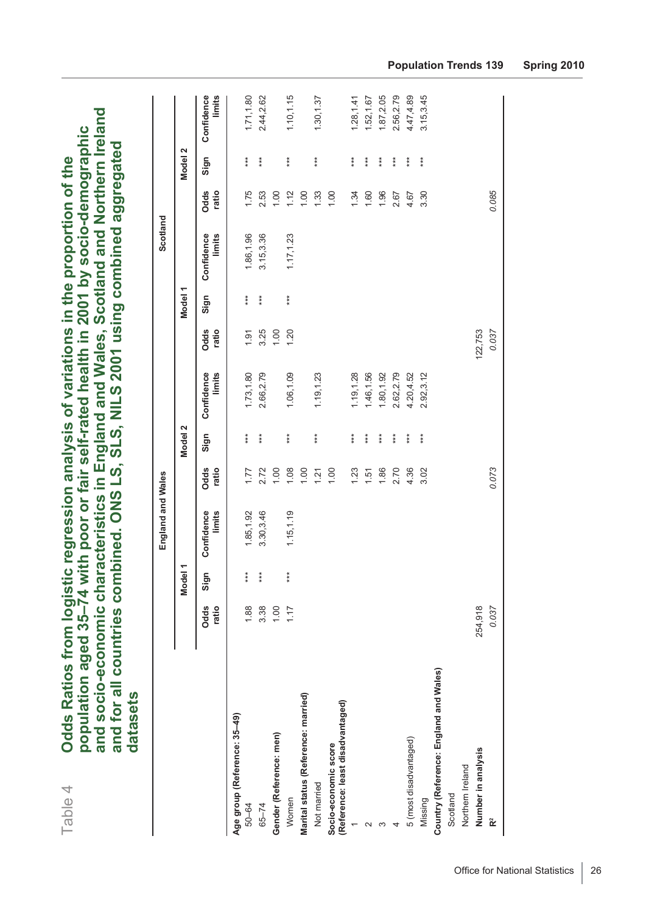**and socio-economic characteristics in England and Wales, Scotland and Northern Ireland**  re the socio-economic characteristics in England and Wales, Scotland and Northern Ireland<br>and for all countries combined. ONS LS, SLS, NILS 2001 using combined aggregated **population aged 35–74 with poor or fair self-rated health in 2001 by socio-demographic**  population aged 35-74 with poor or fair self-rated health in 2001 by socio-demographic **and for all countries combined. ONS LS, SLS, NILS 2001 using combined aggregated**  Table 4 **Odds Ratios from logistic regression analysis of variations in the proportion of the**  Odds Ratios from logistic regression analysis of variations in the proportion of the datasets **datasets** Table 4

|                                                          |                      |            | England and Wales    |                      |         |                      |                      |         | Scotland             |                      |         |                      |
|----------------------------------------------------------|----------------------|------------|----------------------|----------------------|---------|----------------------|----------------------|---------|----------------------|----------------------|---------|----------------------|
|                                                          |                      | ᠇<br>Model |                      |                      | Model 2 |                      |                      | Model 1 |                      |                      | Model 2 |                      |
|                                                          | <b>Odds</b><br>ratio | Sign       | Confidence<br>limits | <b>Odds</b><br>ratio | Sign    | Confidence<br>limits | <b>Odds</b><br>ratio | Sign    | Confidence<br>limits | <b>Odds</b><br>ratio | Sign    | Confidence<br>limits |
| Age group (Reference: 35-49)                             |                      |            |                      |                      |         |                      |                      |         |                      |                      |         |                      |
| $50 - 64$                                                | 1.88                 | ***        | 1.85, 1.92           | 1.77                 | ***     | 1.73,1.80            | 1.91                 | ***     | 1.86,1.96            | 1.75                 | ***     | 1.71,1.80            |
| $65 - 74$                                                | 3.38                 | $***$      | 3.30,3.46            | 2.72                 | ***     | 2.66,2.79            | 3.25                 | ***     | 3.15,3.36            | 2.53                 | ***     | 2.44,2.62            |
| Gender (Reference: men)                                  | 1.00                 |            |                      | 1.00                 |         |                      | 1.00                 |         |                      | 1.00                 |         |                      |
| Women                                                    | 1.17                 | $***$      | 1.15, 1.19           | 1.08                 | ***     | 1.06,1.09            | 1.20                 | ***     | 1.17, 1.23           | 1.12                 | ***     | 1.10, 1.15           |
| Marital status (Reference: married)                      |                      |            |                      | 1.00                 |         |                      |                      |         |                      | 1.00                 |         |                      |
| Not married                                              |                      |            |                      | 1.21                 | ***     | 1.19, 1.23           |                      |         |                      | 1.33                 | ***     | 1.30, 1.37           |
| (Reference: least disadvantaged)<br>Socio-economic score |                      |            |                      | 1.00                 |         |                      |                      |         |                      | 1.00                 |         |                      |
|                                                          |                      |            |                      | 1.23                 | ***     | 1.19,1.28            |                      |         |                      | 1.34                 | ***     | 1.28, 1.41           |
| N                                                        |                      |            |                      | 1.51                 | ***     | 1.46,1.56            |                      |         |                      | 1.60                 | ***     | 1.52, 1.67           |
| က                                                        |                      |            |                      | 1.86                 | ***     | 1.80, 1.92           |                      |         |                      | 1.96                 | ***     | 1.87,2.05            |
|                                                          |                      |            |                      | 2.70                 | ***     | 2.62,2.79            |                      |         |                      | 2.67                 | ***     | 2.56,2.79            |
| 5 (most disadvantaged)                                   |                      |            |                      | 4.36                 | ***     | 4.20,4.52            |                      |         |                      | 4.67                 | ***     | 4.47,4.89            |
| Missing                                                  |                      |            |                      | 3.02                 | ***     | 2.92,3.12            |                      |         |                      | 3.30                 | ***     | 3.15,3.45            |
| Country (Reference: England and Wales)                   |                      |            |                      |                      |         |                      |                      |         |                      |                      |         |                      |
| Scotland                                                 |                      |            |                      |                      |         |                      |                      |         |                      |                      |         |                      |
| Northern Ireland                                         |                      |            |                      |                      |         |                      |                      |         |                      |                      |         |                      |
| Number in analysis                                       | 254,918              |            |                      |                      |         |                      | 122,753              |         |                      |                      |         |                      |
| R <sup>2</sup>                                           | 0.037                |            |                      | 0.073                |         |                      | 0.037                |         |                      | 0.085                |         |                      |

Office for National Statistics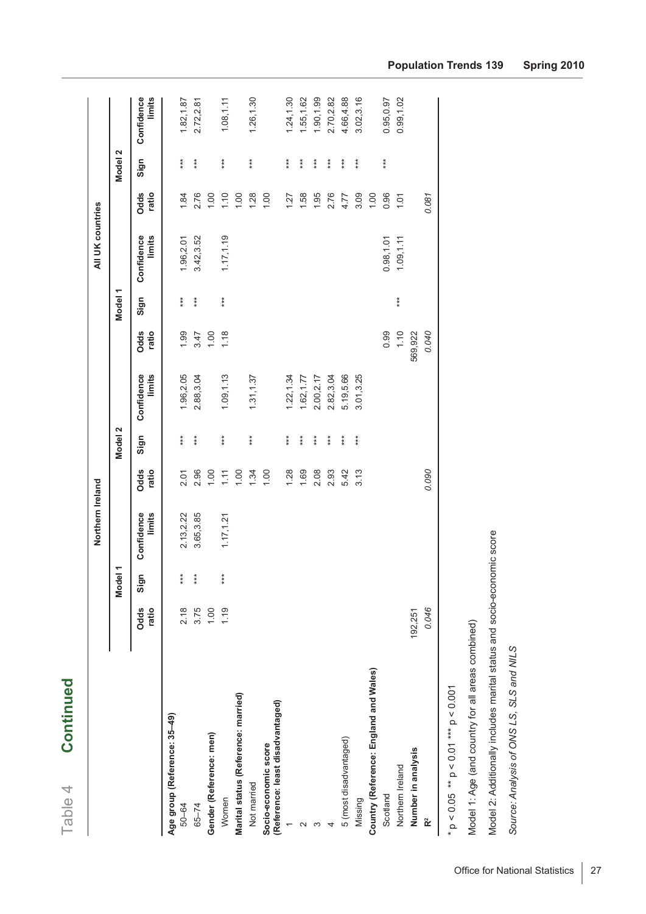| ٦      |
|--------|
| ŗ      |
|        |
|        |
|        |
|        |
| )<br>I |
| r,     |
|        |
|        |
|        |
|        |
|        |
|        |
|        |
|        |
|        |
|        |

|                                                          |               |         | Northern Ireland     |                      |         |                      |                      |         | All UK countries     |                      |         |                      |
|----------------------------------------------------------|---------------|---------|----------------------|----------------------|---------|----------------------|----------------------|---------|----------------------|----------------------|---------|----------------------|
|                                                          |               | Model 1 |                      |                      | Model 2 |                      |                      | Model 1 |                      |                      | Model 2 |                      |
|                                                          | Odds<br>ratio | Sign    | Confidence<br>limits | <b>Odds</b><br>ratio | Sign    | Confidence<br>limits | <b>Odds</b><br>ratio | Sign    | Confidence<br>limits | <b>Odds</b><br>ratio | Sign    | Confidence<br>limits |
| Age group (Reference: 35–49)                             |               |         |                      |                      |         |                      |                      |         |                      |                      |         |                      |
| $50 - 64$                                                | 2.18          | ***     | 2.13,2.22            | 2.01                 | ***     | 1.96,2.05            | 1.99                 | ***     | 1.96,2.01            | 1.84                 | ***     | 1.82,1.87            |
| $65 - 74$                                                | 3.75          | ***     | 3.65,3.85            | 2.96                 | ***     | 2.88,3.04            | 3.47                 | ***     | 3.42, 3.52           | 2.76                 | ***     | 2.72,2.81            |
| Gender (Reference: men)                                  | 00.1          |         |                      | 1.00                 |         |                      | 1.00                 |         |                      | 1.00                 |         |                      |
| Women                                                    | 1.19          | ***     | 1.17, 1.21           | 1.11                 | ***     | 1.09, 1.13           | 1.18                 | ***     | 1.17, 1.19           | 1.10                 | ***     | 1.08, 1.11           |
| Marital status (Reference: married)                      |               |         |                      | 1.00                 |         |                      |                      |         |                      | 1.00                 |         |                      |
| Not married                                              |               |         |                      | 1.34                 | ***     | 1.31, 1.37           |                      |         |                      | 1.28                 | ***     | 1.26, 1.30           |
| (Reference: least disadvantaged)<br>Socio-economic score |               |         |                      | 1.00                 |         |                      |                      |         |                      | 1.00                 |         |                      |
|                                                          |               |         |                      | 1.28                 | ***     | 1.22, 1.34           |                      |         |                      | 1.27                 | ***     | 1.24, 1.30           |
| $\mathbf{\Omega}$                                        |               |         |                      | 1.69                 | ***     | 1.62, 1.77           |                      |         |                      | 1.58                 | ***     | 1.55,1.62            |
| က                                                        |               |         |                      | 2.08                 | ***     | 2.00, 2.17           |                      |         |                      | 1.95                 | ***     | 1.90,1.99            |
|                                                          |               |         |                      | 2.93                 | $***$   | 2.82,3.04            |                      |         |                      | 2.76                 | ***     | 2.70,2.82            |
| 5 (most disadvantaged)                                   |               |         |                      | 5.42                 | ***     | 5.19,5.66            |                      |         |                      | 4.77                 | ***     | 4.66,4.88            |
| Missing                                                  |               |         |                      | 3.13                 | ***     | 3.01, 3.25           |                      |         |                      | 3.09                 | ***     | 3.02,3.16            |
| Country (Reference: England and Wales)                   |               |         |                      |                      |         |                      |                      |         |                      | 1.00                 |         |                      |
| Scotland                                                 |               |         |                      |                      |         |                      | 0.99                 |         | 0.98, 1.01           | 0.96                 | ***     | 0.95,0.97            |
| Northern Ireland                                         |               |         |                      |                      |         |                      | 1.10                 | $***$   | 1.09, 1.11           | 1.01                 |         | 0.99, 1.02           |
| Number in analysis                                       | 192,251       |         |                      |                      |         |                      | 569,922              |         |                      |                      |         |                      |
| $\tilde{\mathbf{R}}^2$                                   | 0.046         |         |                      | 0.090                |         |                      | 0.040                |         |                      | 0.081                |         |                      |
| $* p < 0.05$ $** p < 0.01$ $*** p < 0.001$               |               |         |                      |                      |         |                      |                      |         |                      |                      |         |                      |

Model 1: Age (and country for all areas combined)

Model 1: Age (and country for all areas combined)

Model 2: Additionally includes marital status and socio-economic score

Model 2: Additionally includes marital status and socio-economic score

*Source: Analysis of ONS LS, SLS and NILS*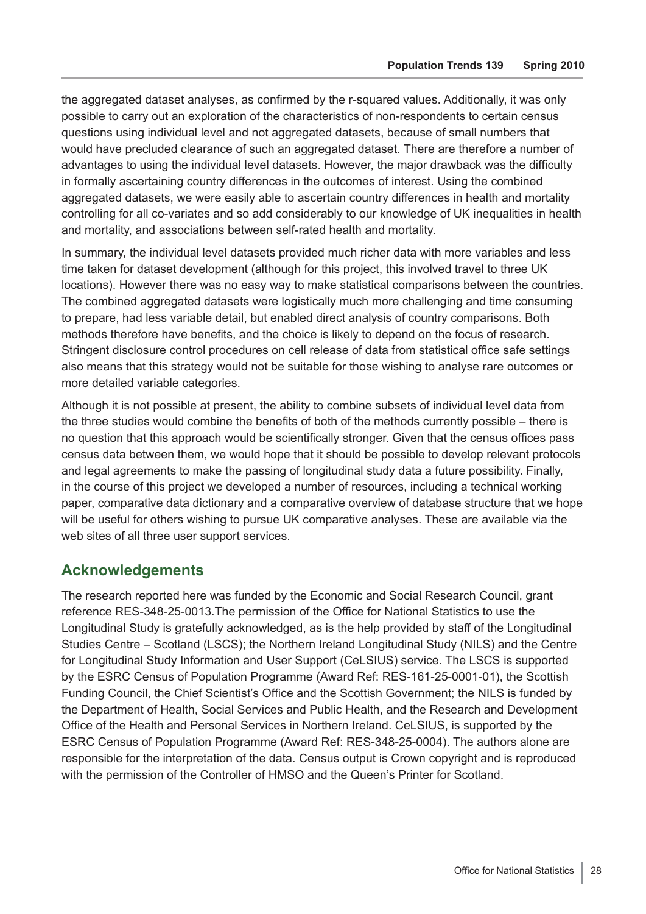the aggregated dataset analyses, as confirmed by the r-squared values. Additionally, it was only possible to carry out an exploration of the characteristics of non-respondents to certain census questions using individual level and not aggregated datasets, because of small numbers that would have precluded clearance of such an aggregated dataset. There are therefore a number of advantages to using the individual level datasets. However, the major drawback was the difficulty in formally ascertaining country differences in the outcomes of interest. Using the combined aggregated datasets, we were easily able to ascertain country differences in health and mortality controlling for all co-variates and so add considerably to our knowledge of UK inequalities in health and mortality, and associations between self-rated health and mortality.

In summary, the individual level datasets provided much richer data with more variables and less time taken for dataset development (although for this project, this involved travel to three UK locations). However there was no easy way to make statistical comparisons between the countries. The combined aggregated datasets were logistically much more challenging and time consuming to prepare, had less variable detail, but enabled direct analysis of country comparisons. Both methods therefore have benefits, and the choice is likely to depend on the focus of research. Stringent disclosure control procedures on cell release of data from statistical office safe settings also means that this strategy would not be suitable for those wishing to analyse rare outcomes or more detailed variable categories.

Although it is not possible at present, the ability to combine subsets of individual level data from the three studies would combine the benefits of both of the methods currently possible – there is no question that this approach would be scientifically stronger. Given that the census offices pass census data between them, we would hope that it should be possible to develop relevant protocols and legal agreements to make the passing of longitudinal study data a future possibility. Finally, in the course of this project we developed a number of resources, including a technical working paper, comparative data dictionary and a comparative overview of database structure that we hope will be useful for others wishing to pursue UK comparative analyses. These are available via the web sites of all three user support services.

### **Acknowledgements**

The research reported here was funded by the Economic and Social Research Council, grant reference RES-348-25-0013.The permission of the Office for National Statistics to use the Longitudinal Study is gratefully acknowledged, as is the help provided by staff of the Longitudinal Studies Centre – Scotland (LSCS); the Northern Ireland Longitudinal Study (NILS) and the Centre for Longitudinal Study Information and User Support (CeLSIUS) service. The LSCS is supported by the ESRC Census of Population Programme (Award Ref: RES-161-25-0001-01), the Scottish Funding Council, the Chief Scientist's Office and the Scottish Government; the NILS is funded by the Department of Health, Social Services and Public Health, and the Research and Development Office of the Health and Personal Services in Northern Ireland. CeLSIUS, is supported by the ESRC Census of Population Programme (Award Ref: RES-348-25-0004). The authors alone are responsible for the interpretation of the data. Census output is Crown copyright and is reproduced with the permission of the Controller of HMSO and the Queen's Printer for Scotland.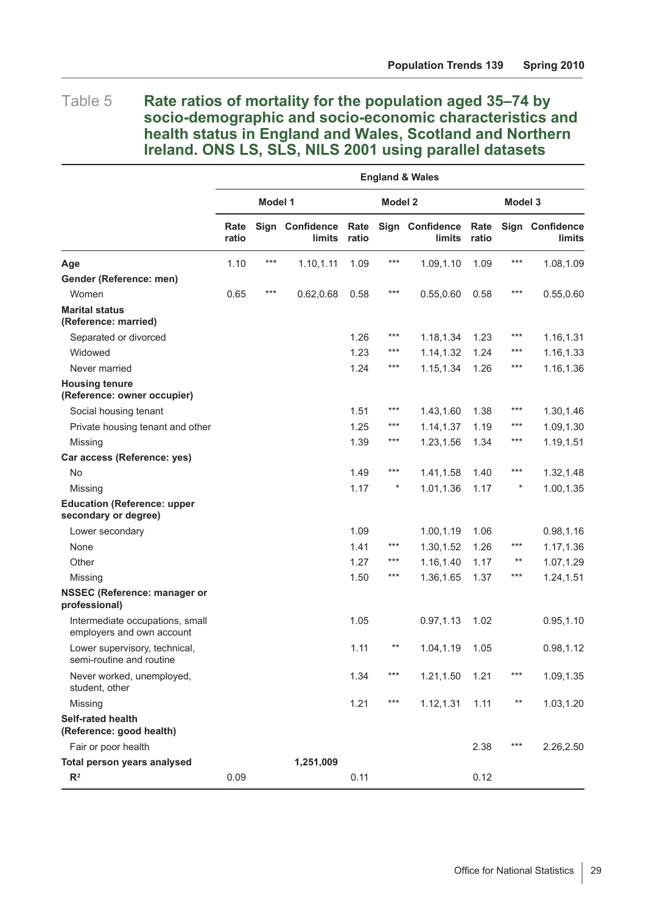#### Table 5 **Rate ratios of mortality for the population aged 35–74 by socio-demographic and socio‑economic characteristics and health status in England and Wales, Scotland and Northern Ireland. ONS LS, SLS, NILS 2001 using parallel datasets**

|                                                              |               |         |                                  |               |         | <b>England &amp; Wales</b> |               |           |                                  |
|--------------------------------------------------------------|---------------|---------|----------------------------------|---------------|---------|----------------------------|---------------|-----------|----------------------------------|
|                                                              |               | Model 1 |                                  |               | Model 2 |                            |               | Model 3   |                                  |
|                                                              | Rate<br>ratio |         | Sign Confidence<br><b>limits</b> | Rate<br>ratio |         | Sign Confidence<br>limits  | Rate<br>ratio |           | Sign Confidence<br><b>limits</b> |
| Age                                                          | 1.10          | ***     | 1.10, 1.11                       | 1.09          | $***$   | 1.09,1.10                  | 1.09          | ***       | 1.08,1.09                        |
| Gender (Reference: men)                                      |               |         |                                  |               |         |                            |               |           |                                  |
| Women                                                        | 0.65          | ***     | 0.62,0.68                        | 0.58          | ***     | 0.55,0.60                  | 0.58          | ***       | 0.55,0.60                        |
| <b>Marital status</b><br>(Reference: married)                |               |         |                                  |               |         |                            |               |           |                                  |
| Separated or divorced                                        |               |         |                                  | 1.26          | $***$   | 1.18,1.34                  | 1.23          | ***       | 1.16,1.31                        |
| Widowed                                                      |               |         |                                  | 1.23          | ***     | 1.14,1.32                  | 1.24          | ***       | 1.16,1.33                        |
| Never married                                                |               |         |                                  | 1.24          | $***$   | 1.15,1.34                  | 1.26          | ***       | 1.16,1.36                        |
| <b>Housing tenure</b><br>(Reference: owner occupier)         |               |         |                                  |               |         |                            |               |           |                                  |
| Social housing tenant                                        |               |         |                                  | 1.51          | $***$   | 1.43,1.60                  | 1.38          | ***       | 1.30,1.46                        |
| Private housing tenant and other                             |               |         |                                  | 1.25          | $***$   | 1.14,1.37                  | 1.19          | ***       | 1.09,1.30                        |
| Missing                                                      |               |         |                                  | 1.39          | $***$   | 1.23,1.56                  | 1.34          | ***       | 1.19,1.51                        |
| Car access (Reference: yes)                                  |               |         |                                  |               |         |                            |               |           |                                  |
| <b>No</b>                                                    |               |         |                                  | 1.49          | $***$   | 1.41,1.58                  | 1.40          | ***       | 1.32,1.48                        |
| Missing                                                      |               |         |                                  | 1.17          | $\ast$  | 1.01,1.36                  | 1.17          | $^{\ast}$ | 1.00,1.35                        |
| <b>Education (Reference: upper</b><br>secondary or degree)   |               |         |                                  |               |         |                            |               |           |                                  |
| Lower secondary                                              |               |         |                                  | 1.09          |         | 1.00,1.19                  | 1.06          |           | 0.98,1.16                        |
| None                                                         |               |         |                                  | 1.41          | ***     | 1.30, 1.52                 | 1.26          | ***       | 1.17,1.36                        |
| Other                                                        |               |         |                                  | 1.27          | $***$   | 1.16,1.40                  | 1.17          | $***$     | 1.07,1.29                        |
| Missing                                                      |               |         |                                  | 1.50          | $***$   | 1.36,1.65                  | 1.37          | ***       | 1.24, 1.51                       |
| <b>NSSEC (Reference: manager or</b><br>professional)         |               |         |                                  |               |         |                            |               |           |                                  |
| Intermediate occupations, small<br>employers and own account |               |         |                                  | 1.05          |         | 0.97, 1.13                 | 1.02          |           | 0.95, 1.10                       |
| Lower supervisory, technical,<br>semi-routine and routine    |               |         |                                  | 1.11          | $***$   | 1.04,1.19                  | 1.05          |           | 0.98,1.12                        |
| Never worked, unemployed,<br>student, other                  |               |         |                                  | 1.34          | ***     | 1.21,1.50                  | 1.21          | ***       | 1.09,1.35                        |
| Missing                                                      |               |         |                                  | 1.21          | $***$   | 1.12,1.31                  | 1.11          | $***$     | 1.03,1.20                        |
| <b>Self-rated health</b><br>(Reference: good health)         |               |         |                                  |               |         |                            |               |           |                                  |
| Fair or poor health                                          |               |         |                                  |               |         |                            | 2.38          | ***       | 2.26,2.50                        |
| <b>Total person years analysed</b>                           |               |         | 1,251,009                        |               |         |                            |               |           |                                  |
| R <sup>2</sup>                                               | 0.09          |         |                                  | 0.11          |         |                            | 0.12          |           |                                  |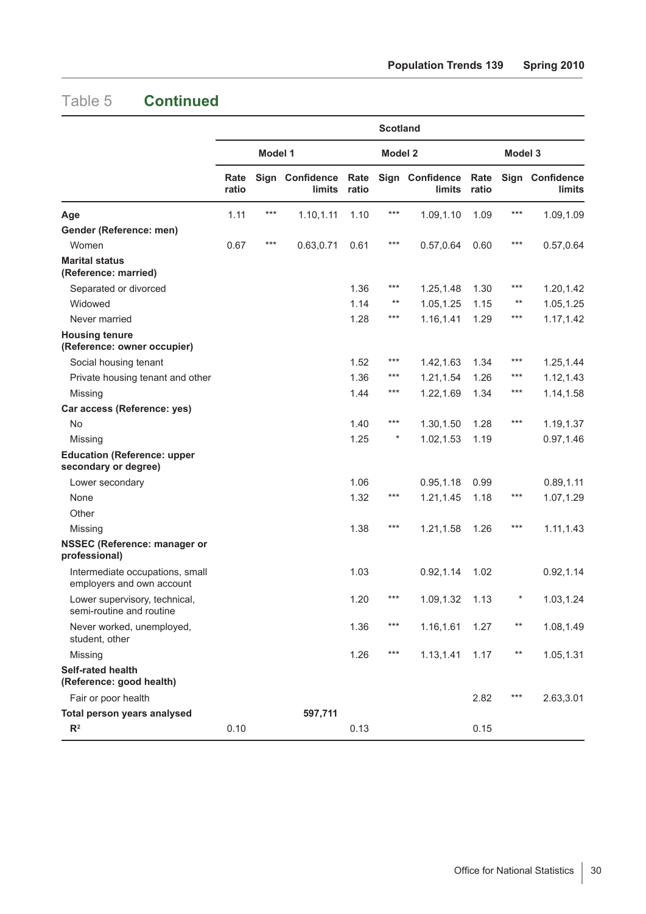# Table 5 **Continued**

|                                                              |               |         |                                  |               | <b>Scotland</b> |                                  |               |            |                                  |
|--------------------------------------------------------------|---------------|---------|----------------------------------|---------------|-----------------|----------------------------------|---------------|------------|----------------------------------|
|                                                              |               | Model 1 |                                  |               | Model 2         |                                  |               | Model 3    |                                  |
|                                                              | Rate<br>ratio |         | Sign Confidence<br><b>limits</b> | Rate<br>ratio |                 | Sign Confidence<br><b>limits</b> | Rate<br>ratio |            | Sign Confidence<br><b>limits</b> |
| Age                                                          | 1.11          | ***     | 1.10, 1.11                       | 1.10          | $***$           | 1.09,1.10                        | 1.09          | ***        | 1.09,1.09                        |
| Gender (Reference: men)                                      |               |         |                                  |               |                 |                                  |               |            |                                  |
| Women                                                        | 0.67          | ***     | 0.63,0.71                        | 0.61          | ***             | 0.57,0.64                        | 0.60          | ***        | 0.57,0.64                        |
| <b>Marital status</b><br>(Reference: married)                |               |         |                                  |               |                 |                                  |               |            |                                  |
| Separated or divorced                                        |               |         |                                  | 1.36          | $***$           | 1.25,1.48                        | 1.30          | ***        | 1.20,1.42                        |
| Widowed                                                      |               |         |                                  | 1.14          | $***$           | 1.05,1.25                        | 1.15          | $***$      | 1.05,1.25                        |
| Never married                                                |               |         |                                  | 1.28          | $***$           | 1.16,1.41                        | 1.29          | ***        | 1.17, 1.42                       |
| <b>Housing tenure</b><br>(Reference: owner occupier)         |               |         |                                  |               |                 |                                  |               |            |                                  |
| Social housing tenant                                        |               |         |                                  | 1.52          | $***$           | 1.42,1.63                        | 1.34          | ***        | 1.25,1.44                        |
| Private housing tenant and other                             |               |         |                                  | 1.36          | $***$           | 1.21,1.54                        | 1.26          | ***        | 1.12, 1.43                       |
| Missing                                                      |               |         |                                  | 1.44          | $***$           | 1.22,1.69                        | 1.34          | ***        | 1.14,1.58                        |
| Car access (Reference: yes)                                  |               |         |                                  |               |                 |                                  |               |            |                                  |
| <b>No</b>                                                    |               |         |                                  | 1.40          | $***$           | 1.30,1.50                        | 1.28          | ***        | 1.19,1.37                        |
| Missing                                                      |               |         |                                  | 1.25          | $\ast$          | 1.02,1.53                        | 1.19          |            | 0.97, 1.46                       |
| <b>Education (Reference: upper</b><br>secondary or degree)   |               |         |                                  |               |                 |                                  |               |            |                                  |
| Lower secondary                                              |               |         |                                  | 1.06          |                 | 0.95, 1.18                       | 0.99          |            | 0.89, 1.11                       |
| None                                                         |               |         |                                  | 1.32          | ***             | 1.21,1.45                        | 1.18          | ***        | 1.07,1.29                        |
| Other                                                        |               |         |                                  |               |                 |                                  |               |            |                                  |
| Missing                                                      |               |         |                                  | 1.38          | $***$           | 1.21,1.58                        | 1.26          | ***        | 1.11, 1.43                       |
| <b>NSSEC (Reference: manager or</b><br>professional)         |               |         |                                  |               |                 |                                  |               |            |                                  |
| Intermediate occupations, small<br>employers and own account |               |         |                                  | 1.03          |                 | 0.92, 1.14                       | 1.02          |            | 0.92, 1.14                       |
| Lower supervisory, technical,<br>semi-routine and routine    |               |         |                                  | 1.20          | $***$           | 1.09,1.32                        | 1.13          | $^{\star}$ | 1.03,1.24                        |
| Never worked, unemployed,<br>student, other                  |               |         |                                  | 1.36          | ***             | 1.16,1.61                        | 1.27          | $***$      | 1.08,1.49                        |
| Missing                                                      |               |         |                                  | 1.26          | $***$           | 1.13,1.41                        | 1.17          | $***$      | 1.05,1.31                        |
| <b>Self-rated health</b><br>(Reference: good health)         |               |         |                                  |               |                 |                                  |               |            |                                  |
| Fair or poor health                                          |               |         |                                  |               |                 |                                  | 2.82          | ***        | 2.63,3.01                        |
| Total person years analysed                                  |               |         | 597,711                          |               |                 |                                  |               |            |                                  |
| R <sup>2</sup>                                               | 0.10          |         |                                  | 0.13          |                 |                                  | 0.15          |            |                                  |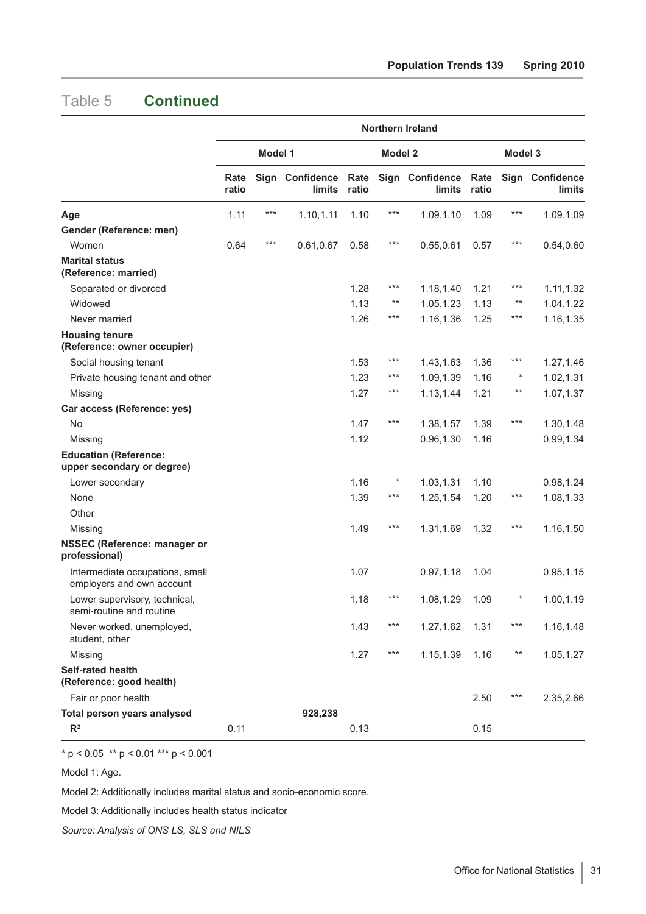## Table 5 **Continued**

|                                                              |               |         |                                  |               |                | <b>Northern Ireland</b>          |               |            |                           |
|--------------------------------------------------------------|---------------|---------|----------------------------------|---------------|----------------|----------------------------------|---------------|------------|---------------------------|
|                                                              |               | Model 1 |                                  |               | <b>Model 2</b> |                                  |               | Model 3    |                           |
|                                                              | Rate<br>ratio |         | Sign Confidence<br><b>limits</b> | Rate<br>ratio |                | Sign Confidence<br><b>limits</b> | Rate<br>ratio |            | Sign Confidence<br>limits |
| Age                                                          | 1.11          | ***     | 1.10, 1.11                       | 1.10          | $***$          | 1.09,1.10                        | 1.09          | $***$      | 1.09,1.09                 |
| Gender (Reference: men)                                      |               |         |                                  |               |                |                                  |               |            |                           |
| Women                                                        | 0.64          | ***     | 0.61,0.67                        | 0.58          | $***$          | 0.55,0.61                        | 0.57          | $***$      | 0.54,0.60                 |
| <b>Marital status</b><br>(Reference: married)                |               |         |                                  |               |                |                                  |               |            |                           |
| Separated or divorced                                        |               |         |                                  | 1.28          | $***$          | 1.18,1.40                        | 1.21          | $***$      | 1.11,1.32                 |
| Widowed                                                      |               |         |                                  | 1.13          | $***$          | 1.05,1.23                        | 1.13          | $***$      | 1.04,1.22                 |
| Never married                                                |               |         |                                  | 1.26          | ***            | 1.16,1.36                        | 1.25          | ***        | 1.16,1.35                 |
| <b>Housing tenure</b><br>(Reference: owner occupier)         |               |         |                                  |               |                |                                  |               |            |                           |
| Social housing tenant                                        |               |         |                                  | 1.53          | $***$          | 1.43,1.63                        | 1.36          | ***        | 1.27,1.46                 |
| Private housing tenant and other                             |               |         |                                  | 1.23          | ***            | 1.09,1.39                        | 1.16          | *          | 1.02, 1.31                |
| Missing                                                      |               |         |                                  | 1.27          | $***$          | 1.13,1.44                        | 1.21          | $***$      | 1.07,1.37                 |
| Car access (Reference: yes)                                  |               |         |                                  |               |                |                                  |               |            |                           |
| <b>No</b>                                                    |               |         |                                  | 1.47          | $***$          | 1.38, 1.57                       | 1.39          | ***        | 1.30,1.48                 |
| Missing                                                      |               |         |                                  | 1.12          |                | 0.96,1.30                        | 1.16          |            | 0.99,1.34                 |
| <b>Education (Reference:</b><br>upper secondary or degree)   |               |         |                                  |               |                |                                  |               |            |                           |
| Lower secondary                                              |               |         |                                  | 1.16          | $\ast$         | 1.03,1.31                        | 1.10          |            | 0.98,1.24                 |
| None                                                         |               |         |                                  | 1.39          | $***$          | 1.25, 1.54                       | 1.20          | ***        | 1.08,1.33                 |
| Other                                                        |               |         |                                  |               |                |                                  |               |            |                           |
| Missing                                                      |               |         |                                  | 1.49          | $***$          | 1.31,1.69                        | 1.32          | ***        | 1.16,1.50                 |
| <b>NSSEC (Reference: manager or</b><br>professional)         |               |         |                                  |               |                |                                  |               |            |                           |
| Intermediate occupations, small<br>employers and own account |               |         |                                  | 1.07          |                | 0.97, 1.18                       | 1.04          |            | 0.95,1.15                 |
| Lower supervisory, technical,<br>semi-routine and routine    |               |         |                                  | 1.18          | $***$          | 1.08,1.29                        | 1.09          | $^{\star}$ | 1.00,1.19                 |
| Never worked, unemployed,<br>student, other                  |               |         |                                  | 1.43          | ***            | 1.27, 1.62                       | 1.31          | ***        | 1.16,1.48                 |
| Missing                                                      |               |         |                                  | 1.27          | ***            | 1.15,1.39                        | 1.16          | $***$      | 1.05,1.27                 |
| Self-rated health<br>(Reference: good health)                |               |         |                                  |               |                |                                  |               |            |                           |
| Fair or poor health                                          |               |         |                                  |               |                |                                  | 2.50          | ***        | 2.35,2.66                 |
| <b>Total person years analysed</b>                           |               |         | 928,238                          |               |                |                                  |               |            |                           |
| R <sup>2</sup>                                               | 0.11          |         |                                  | 0.13          |                |                                  | 0.15          |            |                           |

 $*$  p < 0.05 \*\* p < 0.01 \*\*\* p < 0.001

Model 1: Age.

Model 2: Additionally includes marital status and socio-economic score.

Model 3: Additionally includes health status indicator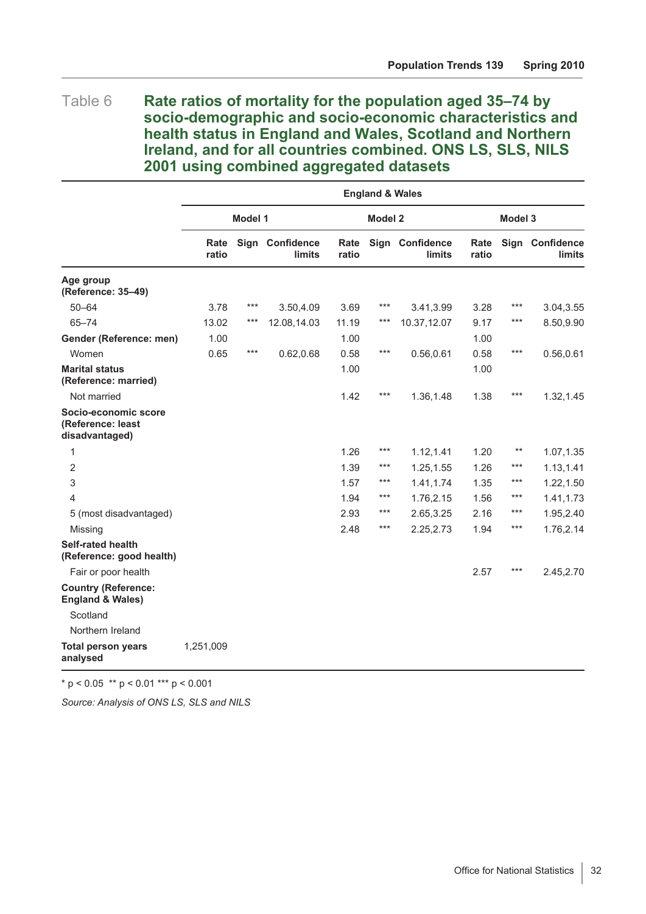#### Table 6 **Rate ratios of mortality for the population aged 35–74 by socio-demographic and socio-economic characteristics and health status in England and Wales, Scotland and Northern Ireland, and for all countries combined. ONS LS, SLS, NILS 2001 using combined aggregated datasets**

|                                                             | <b>England &amp; Wales</b> |       |                                  |               |         |                                  |               |       |                                  |  |
|-------------------------------------------------------------|----------------------------|-------|----------------------------------|---------------|---------|----------------------------------|---------------|-------|----------------------------------|--|
|                                                             | Model 1                    |       |                                  |               | Model 2 |                                  | Model 3       |       |                                  |  |
|                                                             | Rate<br>ratio              |       | Sign Confidence<br><b>limits</b> | Rate<br>ratio |         | Sign Confidence<br><b>limits</b> | Rate<br>ratio |       | Sign Confidence<br><b>limits</b> |  |
| Age group<br>(Reference: 35-49)                             |                            |       |                                  |               |         |                                  |               |       |                                  |  |
| $50 - 64$                                                   | 3.78                       | $***$ | 3.50,4.09                        | 3.69          | ***     | 3.41,3.99                        | 3.28          | ***   | 3.04, 3.55                       |  |
| $65 - 74$                                                   | 13.02                      | ***   | 12.08,14.03                      | 11.19         | ***     | 10.37,12.07                      | 9.17          | ***   | 8.50,9.90                        |  |
| Gender (Reference: men)                                     | 1.00                       |       |                                  | 1.00          |         |                                  | 1.00          |       |                                  |  |
| Women                                                       | 0.65                       | $***$ | 0.62,0.68                        | 0.58          | ***     | 0.56,0.61                        | 0.58          | ***   | 0.56,0.61                        |  |
| <b>Marital status</b><br>(Reference: married)               |                            |       |                                  | 1.00          |         |                                  | 1.00          |       |                                  |  |
| Not married                                                 |                            |       |                                  | 1.42          | $***$   | 1.36,1.48                        | 1.38          | ***   | 1.32, 1.45                       |  |
| Socio-economic score<br>(Reference: least<br>disadvantaged) |                            |       |                                  |               |         |                                  |               |       |                                  |  |
| 1                                                           |                            |       |                                  | 1.26          | ***     | 1.12,1.41                        | 1.20          | $***$ | 1.07,1.35                        |  |
| $\overline{2}$                                              |                            |       |                                  | 1.39          | ***     | 1.25, 1.55                       | 1.26          | ***   | 1.13,1.41                        |  |
| 3                                                           |                            |       |                                  | 1.57          | ***     | 1.41,1.74                        | 1.35          | ***   | 1.22,1.50                        |  |
| 4                                                           |                            |       |                                  | 1.94          | $***$   | 1.76,2.15                        | 1.56          | ***   | 1.41,1.73                        |  |
| 5 (most disadvantaged)                                      |                            |       |                                  | 2.93          | ***     | 2.65,3.25                        | 2.16          | $***$ | 1.95,2.40                        |  |
| Missing                                                     |                            |       |                                  | 2.48          | ***     | 2.25, 2.73                       | 1.94          | ***   | 1.76,2.14                        |  |
| <b>Self-rated health</b><br>(Reference: good health)        |                            |       |                                  |               |         |                                  |               |       |                                  |  |
| Fair or poor health                                         |                            |       |                                  |               |         |                                  | 2.57          | $***$ | 2.45,2.70                        |  |
| <b>Country (Reference:</b><br><b>England &amp; Wales)</b>   |                            |       |                                  |               |         |                                  |               |       |                                  |  |
| Scotland                                                    |                            |       |                                  |               |         |                                  |               |       |                                  |  |
| Northern Ireland                                            |                            |       |                                  |               |         |                                  |               |       |                                  |  |
| <b>Total person years</b><br>analysed                       | 1,251,009                  |       |                                  |               |         |                                  |               |       |                                  |  |

 $* p < 0.05$  \*\*  $p < 0.01$  \*\*\*  $p < 0.001$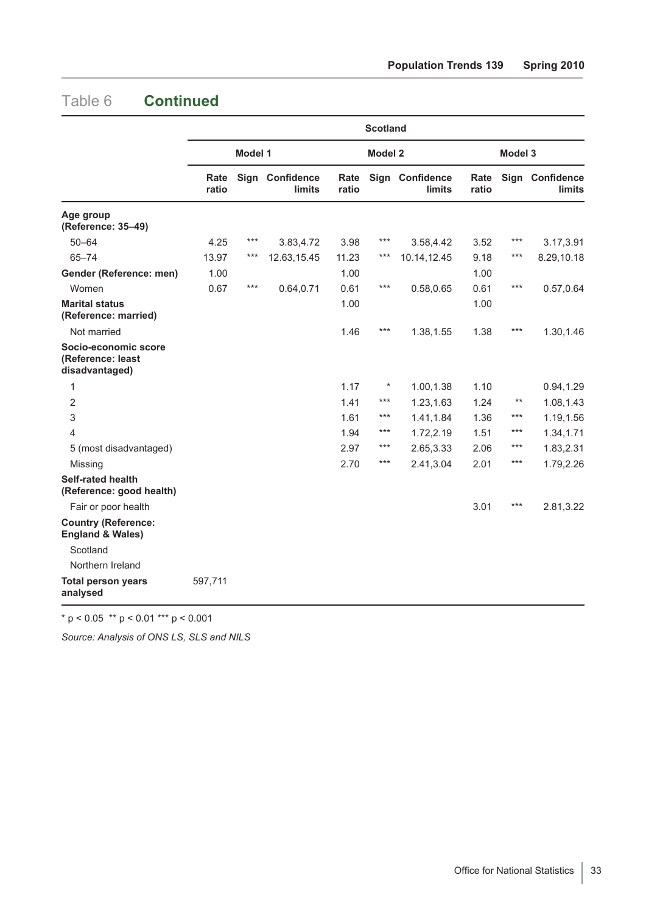## Table 6 **Continued**

|                                                             | <b>Scotland</b> |       |                                  |               |                |                                  |               |       |                                  |
|-------------------------------------------------------------|-----------------|-------|----------------------------------|---------------|----------------|----------------------------------|---------------|-------|----------------------------------|
|                                                             | Model 1         |       |                                  |               | <b>Model 2</b> |                                  | Model 3       |       |                                  |
|                                                             | Rate<br>ratio   |       | Sign Confidence<br><b>limits</b> | Rate<br>ratio |                | Sign Confidence<br><b>limits</b> | Rate<br>ratio |       | Sign Confidence<br><b>limits</b> |
| Age group<br>(Reference: 35-49)                             |                 |       |                                  |               |                |                                  |               |       |                                  |
| $50 - 64$                                                   | 4.25            | $***$ | 3.83,4.72                        | 3.98          | ***            | 3.58,4.42                        | 3.52          | $***$ | 3.17,3.91                        |
| $65 - 74$                                                   | 13.97           | ***   | 12.63,15.45                      | 11.23         | $***$          | 10.14,12.45                      | 9.18          | $***$ | 8.29,10.18                       |
| Gender (Reference: men)                                     | 1.00            |       |                                  | 1.00          |                |                                  | 1.00          |       |                                  |
| Women                                                       | 0.67            | $***$ | 0.64,0.71                        | 0.61          | $***$          | 0.58,0.65                        | 0.61          | $***$ | 0.57,0.64                        |
| <b>Marital status</b><br>(Reference: married)               |                 |       |                                  | 1.00          |                |                                  | 1.00          |       |                                  |
| Not married                                                 |                 |       |                                  | 1.46          | $***$          | 1.38,1.55                        | 1.38          | $***$ | 1.30,1.46                        |
| Socio-economic score<br>(Reference: least<br>disadvantaged) |                 |       |                                  |               |                |                                  |               |       |                                  |
| 1                                                           |                 |       |                                  | 1.17          | $\star$        | 1.00,1.38                        | 1.10          |       | 0.94, 1.29                       |
| 2                                                           |                 |       |                                  | 1.41          | ***            | 1.23,1.63                        | 1.24          | $***$ | 1.08,1.43                        |
| 3                                                           |                 |       |                                  | 1.61          | ***            | 1.41,1.84                        | 1.36          | $***$ | 1.19,1.56                        |
| 4                                                           |                 |       |                                  | 1.94          | $***$          | 1.72,2.19                        | 1.51          | $***$ | 1.34, 1.71                       |
| 5 (most disadvantaged)                                      |                 |       |                                  | 2.97          | ***            | 2.65,3.33                        | 2.06          | ***   | 1.83,2.31                        |
| Missing                                                     |                 |       |                                  | 2.70          | $***$          | 2.41,3.04                        | 2.01          | $***$ | 1.79,2.26                        |
| <b>Self-rated health</b><br>(Reference: good health)        |                 |       |                                  |               |                |                                  |               |       |                                  |
| Fair or poor health                                         |                 |       |                                  |               |                |                                  | 3.01          | $***$ | 2.81,3.22                        |
| <b>Country (Reference:</b><br><b>England &amp; Wales)</b>   |                 |       |                                  |               |                |                                  |               |       |                                  |
| Scotland                                                    |                 |       |                                  |               |                |                                  |               |       |                                  |
| Northern Ireland                                            |                 |       |                                  |               |                |                                  |               |       |                                  |
| <b>Total person years</b><br>analysed                       | 597,711         |       |                                  |               |                |                                  |               |       |                                  |

\* p < 0.05 \*\* p < 0.01 \*\*\* p < 0.001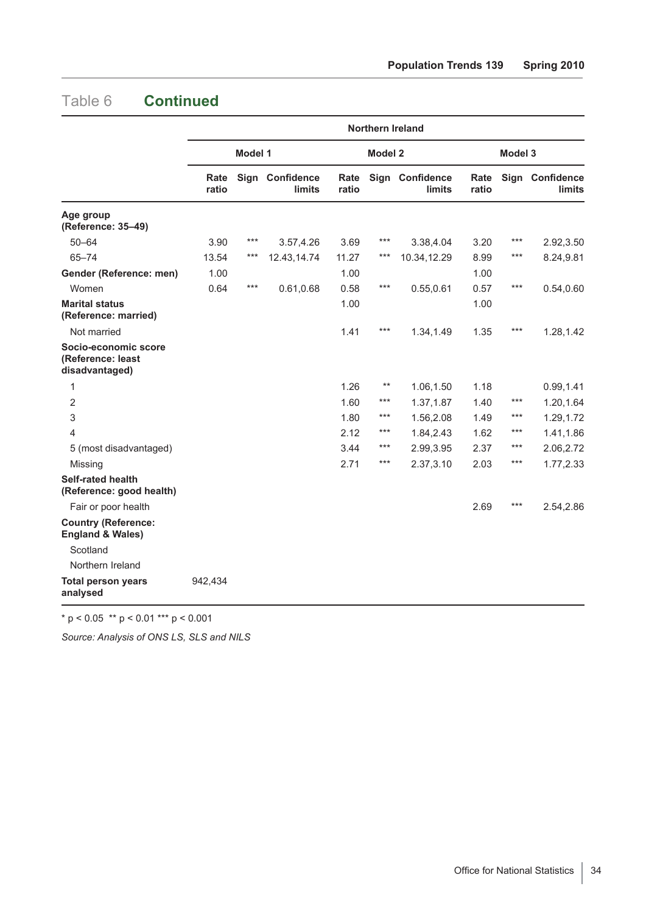## Table 6 **Continued**

|                                                             | Northern Ireland |       |                                  |               |         |                                  |               |       |                                  |
|-------------------------------------------------------------|------------------|-------|----------------------------------|---------------|---------|----------------------------------|---------------|-------|----------------------------------|
|                                                             | Model 1          |       |                                  |               | Model 2 |                                  | Model 3       |       |                                  |
|                                                             | Rate<br>ratio    |       | Sign Confidence<br><b>limits</b> | Rate<br>ratio |         | Sign Confidence<br><b>limits</b> | Rate<br>ratio |       | Sign Confidence<br><b>limits</b> |
| Age group<br>(Reference: 35-49)                             |                  |       |                                  |               |         |                                  |               |       |                                  |
| $50 - 64$                                                   | 3.90             | $***$ | 3.57,4.26                        | 3.69          | $***$   | 3.38,4.04                        | 3.20          | $***$ | 2.92,3.50                        |
| 65-74                                                       | 13.54            | $***$ | 12.43,14.74                      | 11.27         | $***$   | 10.34,12.29                      | 8.99          | $***$ | 8.24,9.81                        |
| Gender (Reference: men)                                     | 1.00             |       |                                  | 1.00          |         |                                  | 1.00          |       |                                  |
| Women                                                       | 0.64             | $***$ | 0.61,0.68                        | 0.58          | $***$   | 0.55,0.61                        | 0.57          | $***$ | 0.54,0.60                        |
| <b>Marital status</b><br>(Reference: married)               |                  |       |                                  | 1.00          |         |                                  | 1.00          |       |                                  |
| Not married                                                 |                  |       |                                  | 1.41          | ***     | 1.34,1.49                        | 1.35          | $***$ | 1.28,1.42                        |
| Socio-economic score<br>(Reference: least<br>disadvantaged) |                  |       |                                  |               |         |                                  |               |       |                                  |
| 1                                                           |                  |       |                                  | 1.26          | $***$   | 1.06,1.50                        | 1.18          |       | 0.99,1.41                        |
| 2                                                           |                  |       |                                  | 1.60          | ***     | 1.37, 1.87                       | 1.40          | $***$ | 1.20,1.64                        |
| 3                                                           |                  |       |                                  | 1.80          | $***$   | 1.56,2.08                        | 1.49          | $***$ | 1.29,1.72                        |
| 4                                                           |                  |       |                                  | 2.12          | ***     | 1.84,2.43                        | 1.62          | $***$ | 1.41,1.86                        |
| 5 (most disadvantaged)                                      |                  |       |                                  | 3.44          | ***     | 2.99,3.95                        | 2.37          | $***$ | 2.06,2.72                        |
| Missing                                                     |                  |       |                                  | 2.71          | $***$   | 2.37,3.10                        | 2.03          | $***$ | 1.77,2.33                        |
| <b>Self-rated health</b><br>(Reference: good health)        |                  |       |                                  |               |         |                                  |               |       |                                  |
| Fair or poor health                                         |                  |       |                                  |               |         |                                  | 2.69          | $***$ | 2.54,2.86                        |
| <b>Country (Reference:</b><br><b>England &amp; Wales)</b>   |                  |       |                                  |               |         |                                  |               |       |                                  |
| Scotland                                                    |                  |       |                                  |               |         |                                  |               |       |                                  |
| Northern Ireland                                            |                  |       |                                  |               |         |                                  |               |       |                                  |
| <b>Total person years</b><br>analysed                       | 942,434          |       |                                  |               |         |                                  |               |       |                                  |

\* p < 0.05 \*\* p < 0.01 \*\*\* p < 0.001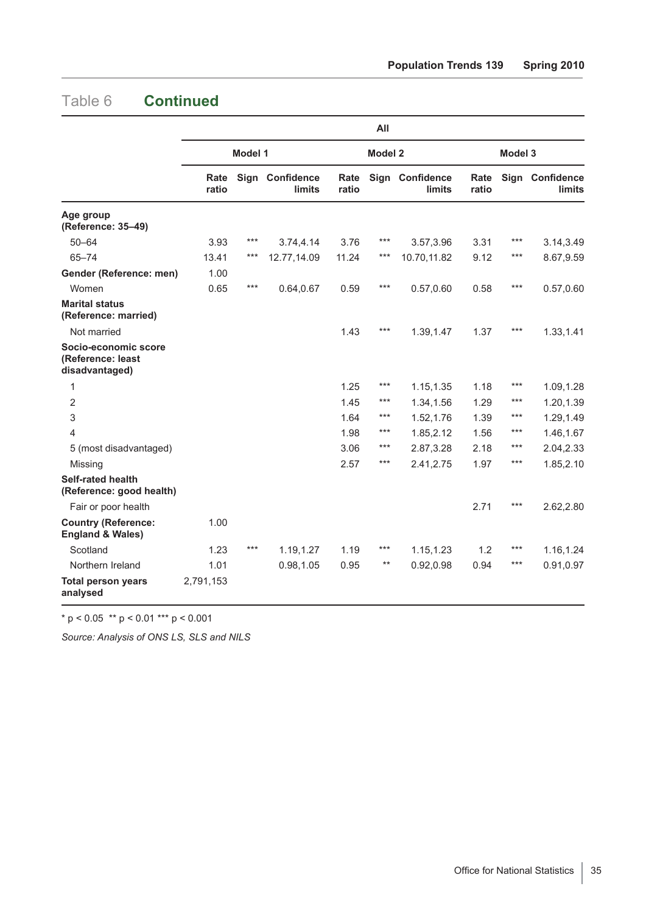# Table 6 **Continued**

|                                                             | All           |       |                                  |               |       |                                  |               |       |                                  |
|-------------------------------------------------------------|---------------|-------|----------------------------------|---------------|-------|----------------------------------|---------------|-------|----------------------------------|
|                                                             | Model 1       |       |                                  | Model 2       |       |                                  | Model 3       |       |                                  |
|                                                             | Rate<br>ratio |       | Sign Confidence<br><b>limits</b> | Rate<br>ratio |       | Sign Confidence<br><b>limits</b> | Rate<br>ratio |       | Sign Confidence<br><b>limits</b> |
| Age group<br>(Reference: 35-49)                             |               |       |                                  |               |       |                                  |               |       |                                  |
| $50 - 64$                                                   | 3.93          | $***$ | 3.74,4.14                        | 3.76          | $***$ | 3.57,3.96                        | 3.31          | $***$ | 3.14,3.49                        |
| $65 - 74$                                                   | 13.41         | ***   | 12.77,14.09                      | 11.24         | ***   | 10.70,11.82                      | 9.12          | $***$ | 8.67,9.59                        |
| Gender (Reference: men)                                     | 1.00          |       |                                  |               |       |                                  |               |       |                                  |
| Women                                                       | 0.65          | $***$ | 0.64,0.67                        | 0.59          | ***   | 0.57, 0.60                       | 0.58          | $***$ | 0.57, 0.60                       |
| <b>Marital status</b><br>(Reference: married)               |               |       |                                  |               |       |                                  |               |       |                                  |
| Not married                                                 |               |       |                                  | 1.43          | $***$ | 1.39,1.47                        | 1.37          | $***$ | 1.33,1.41                        |
| Socio-economic score<br>(Reference: least<br>disadvantaged) |               |       |                                  |               |       |                                  |               |       |                                  |
| 1                                                           |               |       |                                  | 1.25          | ***   | 1.15,1.35                        | 1.18          | $***$ | 1.09,1.28                        |
| $\overline{2}$                                              |               |       |                                  | 1.45          | ***   | 1.34,1.56                        | 1.29          | $***$ | 1.20,1.39                        |
| 3                                                           |               |       |                                  | 1.64          | ***   | 1.52,1.76                        | 1.39          | $***$ | 1.29,1.49                        |
| 4                                                           |               |       |                                  | 1.98          | $***$ | 1.85,2.12                        | 1.56          | $***$ | 1.46,1.67                        |
| 5 (most disadvantaged)                                      |               |       |                                  | 3.06          | $***$ | 2.87,3.28                        | 2.18          | $***$ | 2.04, 2.33                       |
| Missing                                                     |               |       |                                  | 2.57          | $***$ | 2.41,2.75                        | 1.97          | $***$ | 1.85,2.10                        |
| <b>Self-rated health</b><br>(Reference: good health)        |               |       |                                  |               |       |                                  |               |       |                                  |
| Fair or poor health                                         |               |       |                                  |               |       |                                  | 2.71          | $***$ | 2.62,2.80                        |
| <b>Country (Reference:</b><br><b>England &amp; Wales)</b>   | 1.00          |       |                                  |               |       |                                  |               |       |                                  |
| Scotland                                                    | 1.23          | $***$ | 1.19,1.27                        | 1.19          | ***   | 1.15,1.23                        | 1.2           | $***$ | 1.16,1.24                        |
| Northern Ireland                                            | 1.01          |       | 0.98, 1.05                       | 0.95          | $***$ | 0.92,0.98                        | 0.94          | $***$ | 0.91,0.97                        |
| <b>Total person years</b><br>analysed                       | 2,791,153     |       |                                  |               |       |                                  |               |       |                                  |

\* p < 0.05 \*\* p < 0.01 \*\*\* p < 0.001